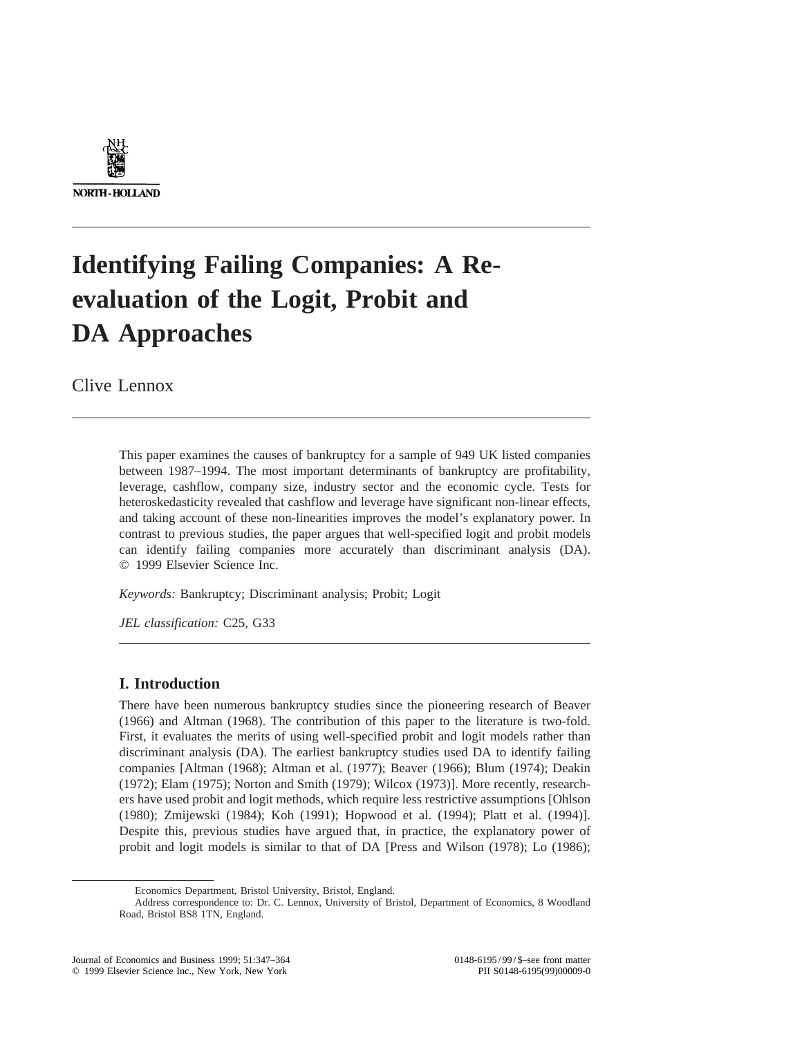

# **Identifying Failing Companies: A Reevaluation of the Logit, Probit and DA Approaches**

Clive Lennox

This paper examines the causes of bankruptcy for a sample of 949 UK listed companies between 1987–1994. The most important determinants of bankruptcy are profitability, leverage, cashflow, company size, industry sector and the economic cycle. Tests for heteroskedasticity revealed that cashflow and leverage have significant non-linear effects, and taking account of these non-linearities improves the model's explanatory power. In contrast to previous studies, the paper argues that well-specified logit and probit models can identify failing companies more accurately than discriminant analysis (DA). © 1999 Elsevier Science Inc.

*Keywords:* Bankruptcy; Discriminant analysis; Probit; Logit

*JEL classification:* C25, G33

## **I. Introduction**

There have been numerous bankruptcy studies since the pioneering research of Beaver (1966) and Altman (1968). The contribution of this paper to the literature is two-fold. First, it evaluates the merits of using well-specified probit and logit models rather than discriminant analysis (DA). The earliest bankruptcy studies used DA to identify failing companies [Altman (1968); Altman et al. (1977); Beaver (1966); Blum (1974); Deakin (1972); Elam (1975); Norton and Smith (1979); Wilcox (1973)]. More recently, researchers have used probit and logit methods, which require less restrictive assumptions [Ohlson (1980); Zmijewski (1984); Koh (1991); Hopwood et al. (1994); Platt et al. (1994)]. Despite this, previous studies have argued that, in practice, the explanatory power of probit and logit models is similar to that of DA [Press and Wilson (1978); Lo (1986);

Economics Department, Bristol University, Bristol, England.

Address correspondence to: Dr. C. Lennox, University of Bristol, Department of Economics, 8 Woodland Road, Bristol BS8 1TN, England.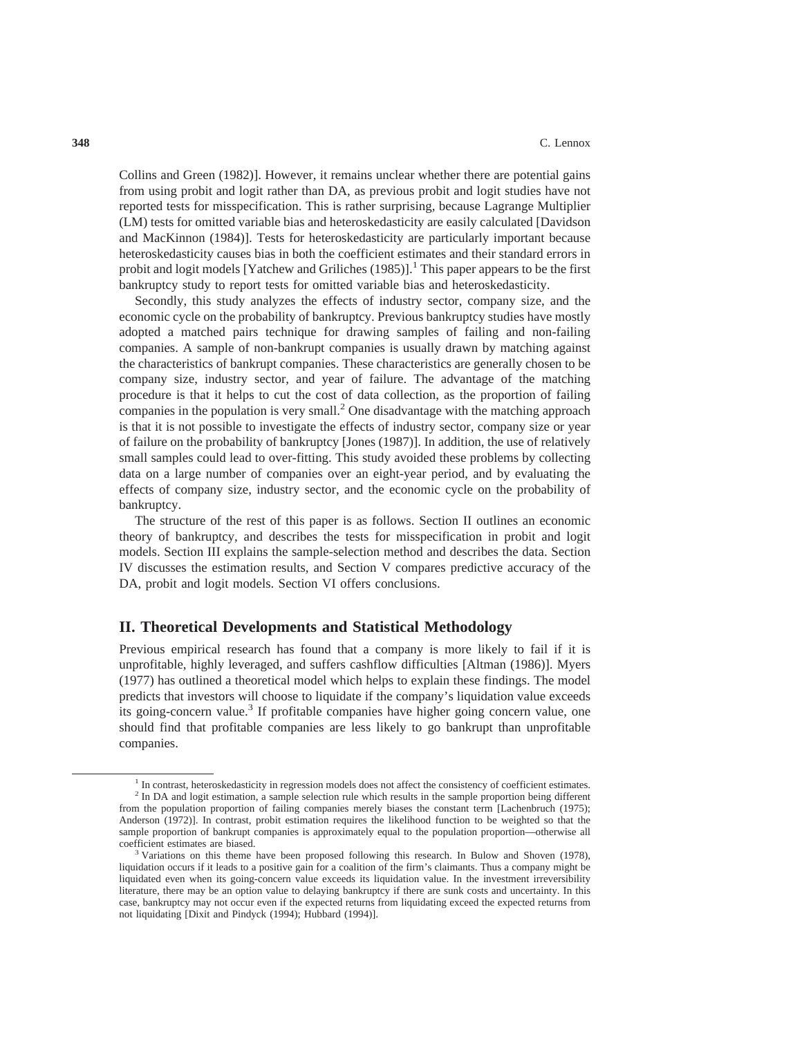Collins and Green (1982)]. However, it remains unclear whether there are potential gains from using probit and logit rather than DA, as previous probit and logit studies have not reported tests for misspecification. This is rather surprising, because Lagrange Multiplier (LM) tests for omitted variable bias and heteroskedasticity are easily calculated [Davidson and MacKinnon (1984)]. Tests for heteroskedasticity are particularly important because heteroskedasticity causes bias in both the coefficient estimates and their standard errors in probit and logit models [Yatchew and Griliches  $(1985)$ ].<sup>1</sup> This paper appears to be the first bankruptcy study to report tests for omitted variable bias and heteroskedasticity.

Secondly, this study analyzes the effects of industry sector, company size, and the economic cycle on the probability of bankruptcy. Previous bankruptcy studies have mostly adopted a matched pairs technique for drawing samples of failing and non-failing companies. A sample of non-bankrupt companies is usually drawn by matching against the characteristics of bankrupt companies. These characteristics are generally chosen to be company size, industry sector, and year of failure. The advantage of the matching procedure is that it helps to cut the cost of data collection, as the proportion of failing companies in the population is very small.2 One disadvantage with the matching approach is that it is not possible to investigate the effects of industry sector, company size or year of failure on the probability of bankruptcy [Jones (1987)]. In addition, the use of relatively small samples could lead to over-fitting. This study avoided these problems by collecting data on a large number of companies over an eight-year period, and by evaluating the effects of company size, industry sector, and the economic cycle on the probability of bankruptcy.

The structure of the rest of this paper is as follows. Section II outlines an economic theory of bankruptcy, and describes the tests for misspecification in probit and logit models. Section III explains the sample-selection method and describes the data. Section IV discusses the estimation results, and Section V compares predictive accuracy of the DA, probit and logit models. Section VI offers conclusions.

#### **II. Theoretical Developments and Statistical Methodology**

Previous empirical research has found that a company is more likely to fail if it is unprofitable, highly leveraged, and suffers cashflow difficulties [Altman (1986)]. Myers (1977) has outlined a theoretical model which helps to explain these findings. The model predicts that investors will choose to liquidate if the company's liquidation value exceeds its going-concern value.<sup>3</sup> If profitable companies have higher going concern value, one should find that profitable companies are less likely to go bankrupt than unprofitable companies.

 $1$  In contrast, heteroskedasticity in regression models does not affect the consistency of coefficient estimates. <sup>2</sup> In DA and logit estimation, a sample selection rule which results in the sample proportion being different from the population proportion of failing companies merely biases the constant term [Lachenbruch (1975); Anderson (1972)]. In contrast, probit estimation requires the likelihood function to be weighted so that the sample proportion of bankrupt companies is approximately equal to the population proportion—otherwise all

coefficient estimates are biased. <sup>3</sup> Variations on this theme have been proposed following this research. In Bulow and Shoven (1978), liquidation occurs if it leads to a positive gain for a coalition of the firm's claimants. Thus a company might be liquidated even when its going-concern value exceeds its liquidation value. In the investment irreversibility literature, there may be an option value to delaying bankruptcy if there are sunk costs and uncertainty. In this case, bankruptcy may not occur even if the expected returns from liquidating exceed the expected returns from not liquidating [Dixit and Pindyck (1994); Hubbard (1994)].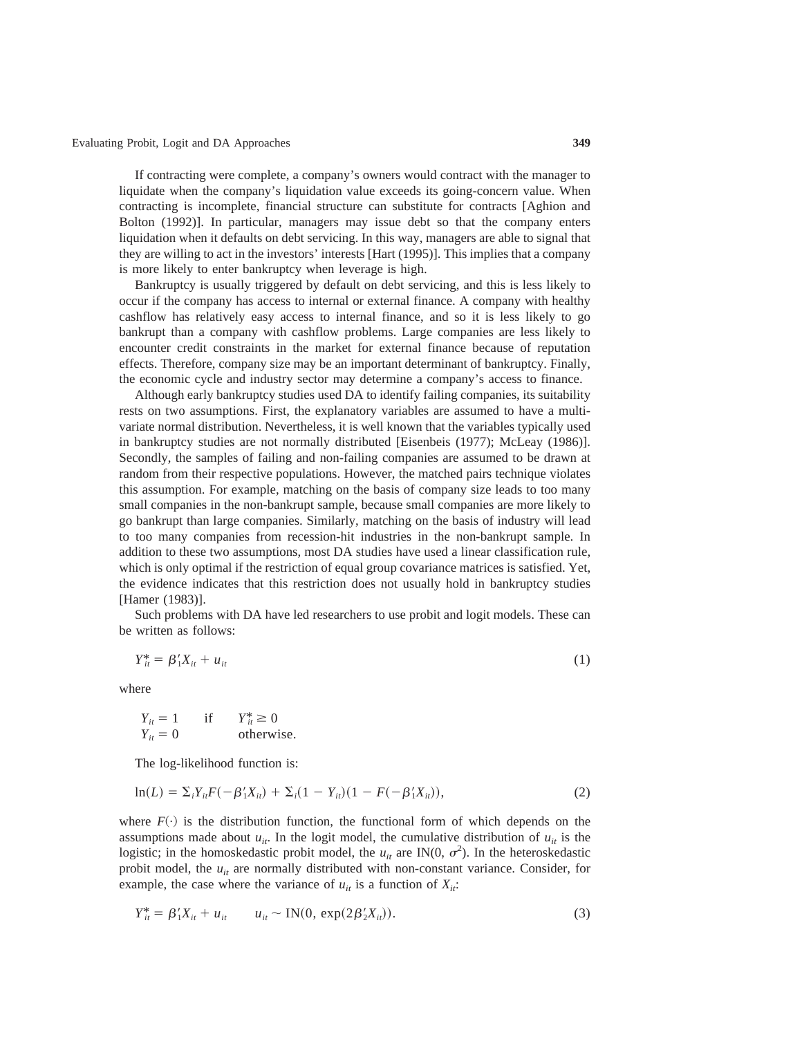If contracting were complete, a company's owners would contract with the manager to liquidate when the company's liquidation value exceeds its going-concern value. When contracting is incomplete, financial structure can substitute for contracts [Aghion and Bolton (1992)]. In particular, managers may issue debt so that the company enters liquidation when it defaults on debt servicing. In this way, managers are able to signal that they are willing to act in the investors' interests [Hart (1995)]. This implies that a company is more likely to enter bankruptcy when leverage is high.

Bankruptcy is usually triggered by default on debt servicing, and this is less likely to occur if the company has access to internal or external finance. A company with healthy cashflow has relatively easy access to internal finance, and so it is less likely to go bankrupt than a company with cashflow problems. Large companies are less likely to encounter credit constraints in the market for external finance because of reputation effects. Therefore, company size may be an important determinant of bankruptcy. Finally, the economic cycle and industry sector may determine a company's access to finance.

Although early bankruptcy studies used DA to identify failing companies, its suitability rests on two assumptions. First, the explanatory variables are assumed to have a multivariate normal distribution. Nevertheless, it is well known that the variables typically used in bankruptcy studies are not normally distributed [Eisenbeis (1977); McLeay (1986)]. Secondly, the samples of failing and non-failing companies are assumed to be drawn at random from their respective populations. However, the matched pairs technique violates this assumption. For example, matching on the basis of company size leads to too many small companies in the non-bankrupt sample, because small companies are more likely to go bankrupt than large companies. Similarly, matching on the basis of industry will lead to too many companies from recession-hit industries in the non-bankrupt sample. In addition to these two assumptions, most DA studies have used a linear classification rule, which is only optimal if the restriction of equal group covariance matrices is satisfied. Yet, the evidence indicates that this restriction does not usually hold in bankruptcy studies [Hamer (1983)].

Such problems with DA have led researchers to use probit and logit models. These can be written as follows:

$$
Y_{it}^* = \beta_1' X_{it} + u_{it} \tag{1}
$$

where

$$
Y_{it} = 1 \t\t if \t\t Y_{it}^* \ge 0Y_{it} = 0 \t\t otherwise.
$$

The log-likelihood function is:

$$
\ln(L) = \sum_{i} Y_{it} F(-\beta'_{1} X_{it}) + \sum_{i} (1 - Y_{it})(1 - F(-\beta'_{1} X_{it})),
$$
\n(2)

where  $F(\cdot)$  is the distribution function, the functional form of which depends on the assumptions made about  $u_{ir}$ . In the logit model, the cumulative distribution of  $u_{it}$  is the logistic; in the homoskedastic probit model, the  $u_{it}$  are IN(0,  $\sigma^2$ ). In the heteroskedastic probit model, the  $u_{it}$  are normally distributed with non-constant variance. Consider, for example, the case where the variance of  $u_{it}$  is a function of  $X_{it}$ :

$$
Y_{it}^* = \beta_1' X_{it} + u_{it} \qquad u_{it} \sim \text{IN}(0, \exp(2\beta_2' X_{it})).
$$
 (3)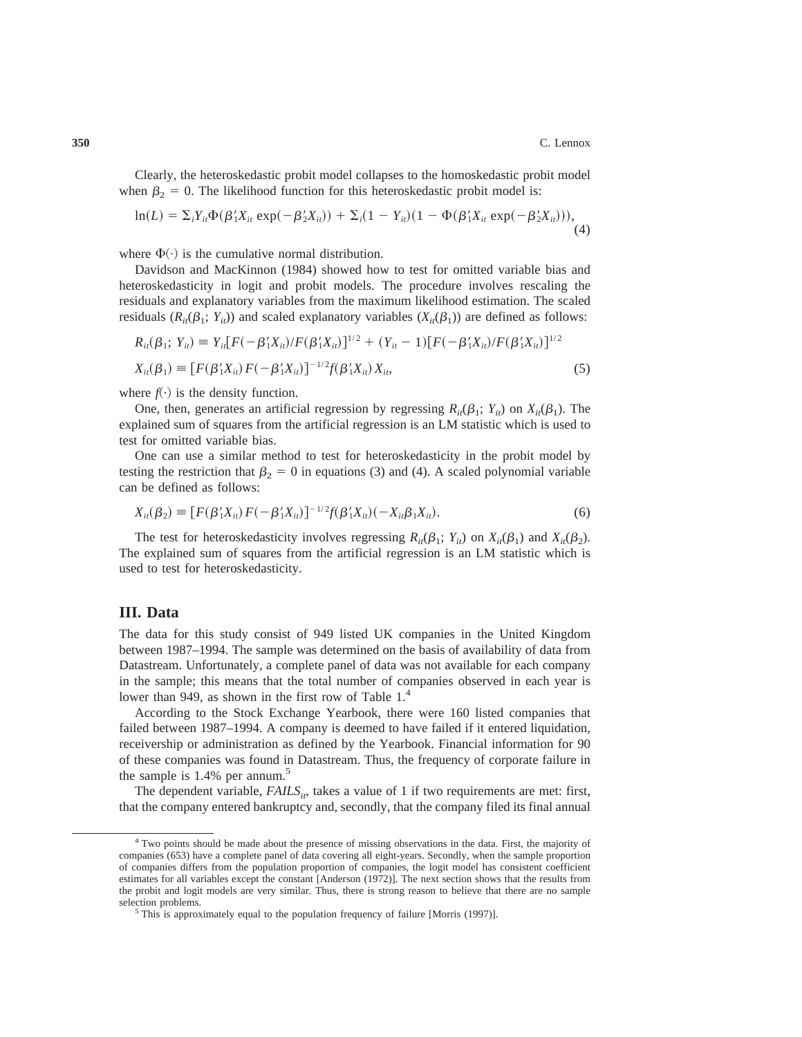Clearly, the heteroskedastic probit model collapses to the homoskedastic probit model when  $\beta_2 = 0$ . The likelihood function for this heteroskedastic probit model is:

$$
\ln(L) = \sum_{i} Y_{it} \Phi(\beta_1' X_{it} \exp(-\beta_2' X_{it})) + \sum_{i} (1 - Y_{it})(1 - \Phi(\beta_1' X_{it} \exp(-\beta_2' X_{it}))),
$$
\n(4)

where  $\Phi(\cdot)$  is the cumulative normal distribution.

Davidson and MacKinnon (1984) showed how to test for omitted variable bias and heteroskedasticity in logit and probit models. The procedure involves rescaling the residuals and explanatory variables from the maximum likelihood estimation. The scaled residuals  $(R_i(\beta_1; Y_i))$  and scaled explanatory variables  $(X_i(\beta_1))$  are defined as follows:

$$
R_{ii}(\beta_1; Y_{ii}) \equiv Y_{ii}[F(-\beta'_1X_{ii})/F(\beta'_1X_{ii})]^{1/2} + (Y_{ii} - 1)[F(-\beta'_1X_{ii})/F(\beta'_1X_{ii})]^{1/2}
$$
  

$$
X_{ii}(\beta_1) \equiv [F(\beta'_1X_{ii})F(-\beta'_1X_{ii})]^{-1/2}f(\beta'_1X_{ii})X_{ii},
$$
 (5)

where  $f(\cdot)$  is the density function.

One, then, generates an artificial regression by regressing  $R_i(\beta_1; Y_i)$  on  $X_i(\beta_1)$ . The explained sum of squares from the artificial regression is an LM statistic which is used to test for omitted variable bias.

One can use a similar method to test for heteroskedasticity in the probit model by testing the restriction that  $\beta_2 = 0$  in equations (3) and (4). A scaled polynomial variable can be defined as follows:

$$
X_{it}(\beta_2) \equiv [F(\beta_1'X_{it})F(-\beta_1'X_{it})]^{-1/2}f(\beta_1'X_{it})(-X_{it}\beta_1'X_{it}).
$$
\n(6)

The test for heteroskedasticity involves regressing  $R_i(\beta_1; Y_i)$  on  $X_i(\beta_1)$  and  $X_i(\beta_2)$ . The explained sum of squares from the artificial regression is an LM statistic which is used to test for heteroskedasticity.

#### **III. Data**

The data for this study consist of 949 listed UK companies in the United Kingdom between 1987–1994. The sample was determined on the basis of availability of data from Datastream. Unfortunately, a complete panel of data was not available for each company in the sample; this means that the total number of companies observed in each year is lower than 949, as shown in the first row of Table 1.<sup>4</sup>

According to the Stock Exchange Yearbook, there were 160 listed companies that failed between 1987–1994. A company is deemed to have failed if it entered liquidation, receivership or administration as defined by the Yearbook. Financial information for 90 of these companies was found in Datastream. Thus, the frequency of corporate failure in the sample is  $1.4\%$  per annum.<sup>5</sup>

The dependent variable,  $FALS_{ij}$ , takes a value of 1 if two requirements are met: first, that the company entered bankruptcy and, secondly, that the company filed its final annual

<sup>4</sup> Two points should be made about the presence of missing observations in the data. First, the majority of companies (653) have a complete panel of data covering all eight-years. Secondly, when the sample proportion of companies differs from the population proportion of companies, the logit model has consistent coefficient estimates for all variables except the constant [Anderson (1972)]. The next section shows that the results from the probit and logit models are very similar. Thus, there is strong reason to believe that there are no sample selection problems.<br><sup>5</sup> This is approximately equal to the population frequency of failure [Morris (1997)].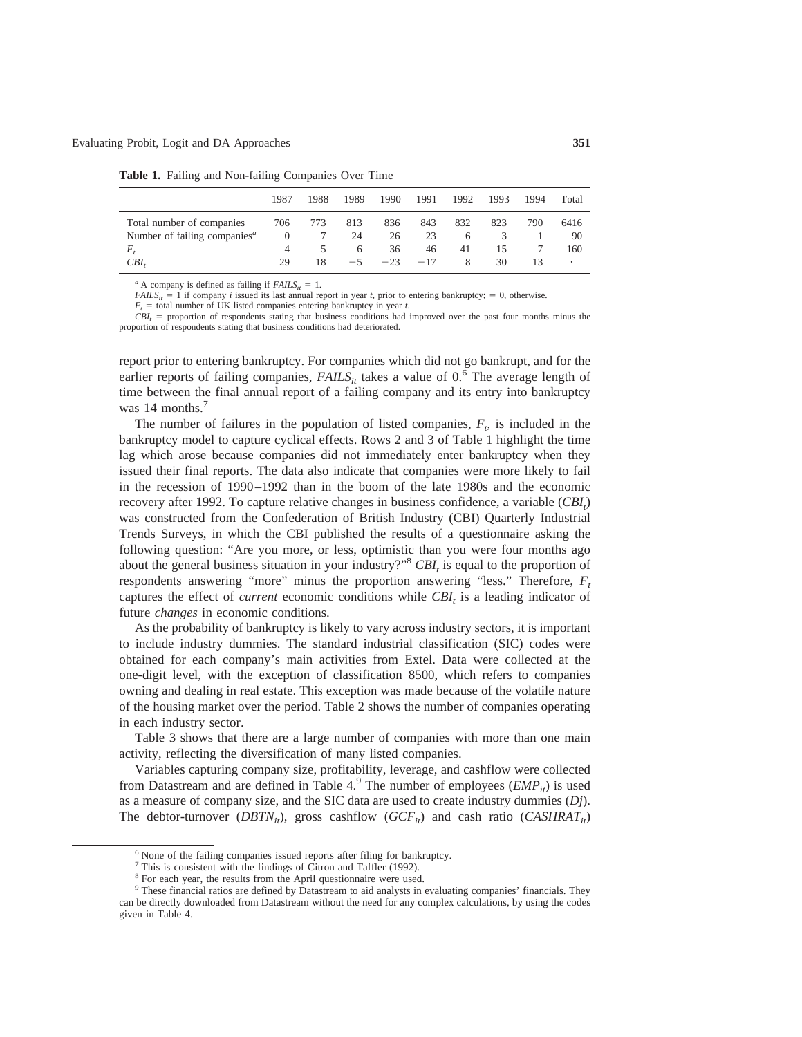|                                                                                    | 1987     | 1988 | 1989         | 1990      | 1991      | 1992     | 1993 | 1994 | Total      |
|------------------------------------------------------------------------------------|----------|------|--------------|-----------|-----------|----------|------|------|------------|
| Total number of companies<br>Number of failing companies <sup><math>a</math></sup> | 706<br>0 | 773  | 813<br>24    | 836<br>26 | 843<br>23 | 832<br>6 | 823  | 790  | 6416<br>90 |
|                                                                                    | 4        |      | <sub>6</sub> | 36        | 46        | 41       |      |      | 160        |
| $CBI$ ,                                                                            | 29       | 18   | $-5$         | $-23$     | $-17$     | 8        | 30   |      | $\bullet$  |

**Table 1.** Failing and Non-failing Companies Over Time

 $a^a$  A company is defined as failing if  $FAILS_{it} = 1$ .

 $FAILS_{it} = 1$  if company *i* issued its last annual report in year *t*, prior to entering bankruptcy; = 0, otherwise.

 $F_t$  = total number of UK listed companies entering bankruptcy in year *t*.

 $CBI_t$  = proportion of respondents stating that business conditions had improved over the past four months minus the proportion of respondents stating that business conditions had deteriorated.

report prior to entering bankruptcy. For companies which did not go bankrupt, and for the earlier reports of failing companies,  $FAILS<sub>i</sub>$  takes a value of  $0<sup>6</sup>$ . The average length of time between the final annual report of a failing company and its entry into bankruptcy was 14 months.<sup>7</sup>

The number of failures in the population of listed companies,  $F_t$ , is included in the bankruptcy model to capture cyclical effects. Rows 2 and 3 of Table 1 highlight the time lag which arose because companies did not immediately enter bankruptcy when they issued their final reports. The data also indicate that companies were more likely to fail in the recession of 1990–1992 than in the boom of the late 1980s and the economic recovery after 1992. To capture relative changes in business confidence, a variable (CBI<sub>t</sub>) was constructed from the Confederation of British Industry (CBI) Quarterly Industrial Trends Surveys, in which the CBI published the results of a questionnaire asking the following question: "Are you more, or less, optimistic than you were four months ago about the general business situation in your industry?"<sup>8</sup>  $CBI<sub>t</sub>$  is equal to the proportion of respondents answering "more" minus the proportion answering "less." Therefore, *Ft* captures the effect of *current* economic conditions while *CBI*, is a leading indicator of future *changes* in economic conditions.

As the probability of bankruptcy is likely to vary across industry sectors, it is important to include industry dummies. The standard industrial classification (SIC) codes were obtained for each company's main activities from Extel. Data were collected at the one-digit level, with the exception of classification 8500, which refers to companies owning and dealing in real estate. This exception was made because of the volatile nature of the housing market over the period. Table 2 shows the number of companies operating in each industry sector.

Table 3 shows that there are a large number of companies with more than one main activity, reflecting the diversification of many listed companies.

Variables capturing company size, profitability, leverage, and cashflow were collected from Datastream and are defined in Table  $4.9$ <sup>o</sup>. The number of employees (*EMP<sub>it</sub>*) is used as a measure of company size, and the SIC data are used to create industry dummies (*Dj*). The debtor-turnover ( $DBTN_{it}$ ), gross cashflow ( $GCF_{it}$ ) and cash ratio ( $CASHRAT_{it}$ )

<sup>6</sup> None of the failing companies issued reports after filing for bankruptcy.

<sup>7</sup> This is consistent with the findings of Citron and Taffler (1992).

<sup>8</sup> For each year, the results from the April questionnaire were used.

<sup>&</sup>lt;sup>9</sup> These financial ratios are defined by Datastream to aid analysts in evaluating companies' financials. They can be directly downloaded from Datastream without the need for any complex calculations, by using the codes given in Table 4.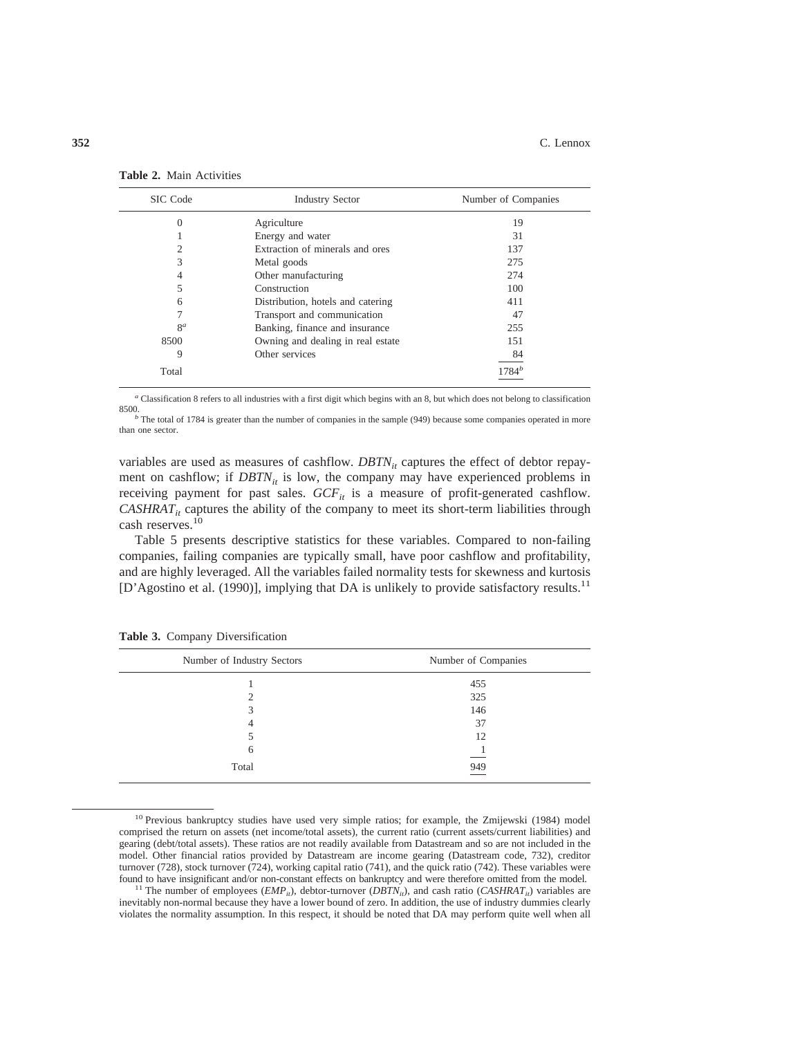| SIC Code       | <b>Industry Sector</b>            | Number of Companies |
|----------------|-----------------------------------|---------------------|
| $\Omega$       | Agriculture                       | 19                  |
|                | Energy and water                  | 31                  |
|                | Extraction of minerals and ores   | 137                 |
| 3              | Metal goods                       | 275                 |
| 4              | Other manufacturing               | 274                 |
| 5              | Construction                      | 100                 |
| 6              | Distribution, hotels and catering | 411                 |
|                | Transport and communication       | 47                  |
| 8 <sup>a</sup> | Banking, finance and insurance    | 255                 |
| 8500           | Owning and dealing in real estate | 151                 |
| 9              | Other services                    | 84                  |
| Total          |                                   | 1784 $^b$           |

**Table 2.** Main Activities

*<sup>a</sup>* Classification 8 refers to all industries with a first digit which begins with an 8, but which does not belong to classification 8500.<br><sup>b</sup> The total of 1784 is greater than the number of companies in the sample (949) because some companies operated in more

than one sector.

variables are used as measures of cashflow.  $DBTN_{it}$  captures the effect of debtor repayment on cashflow; if  $DBTN_{ii}$  is low, the company may have experienced problems in receiving payment for past sales.  $GCF_{it}$  is a measure of profit-generated cashflow.  $CASHRAT_{it}$  captures the ability of the company to meet its short-term liabilities through cash reserves.<sup>10</sup>

Table 5 presents descriptive statistics for these variables. Compared to non-failing companies, failing companies are typically small, have poor cashflow and profitability, and are highly leveraged. All the variables failed normality tests for skewness and kurtosis [D'Agostino et al. (1990)], implying that DA is unlikely to provide satisfactory results.<sup>11</sup>

| Number of Industry Sectors | Number of Companies |
|----------------------------|---------------------|
|                            | 455                 |
|                            | 325                 |
|                            | 146                 |
| 4                          | 37                  |
|                            | 12                  |
| 6                          |                     |
| Total                      | 949                 |

**Table 3.** Company Diversification

<sup>10</sup> Previous bankruptcy studies have used very simple ratios; for example, the Zmijewski (1984) model comprised the return on assets (net income/total assets), the current ratio (current assets/current liabilities) and gearing (debt/total assets). These ratios are not readily available from Datastream and so are not included in the model. Other financial ratios provided by Datastream are income gearing (Datastream code, 732), creditor turnover (728), stock turnover (724), working capital ratio (741), and the quick ratio (742). These variables were found to have insignificant and/or non-constant effects on bankruptcy and were therefore omitted from the model.<br><sup>11</sup> The number of employees (*EMP<sub>ii</sub>*), debtor-turnover (*DBTN<sub>ii</sub>*), and cash ratio (*CASHRAT<sub>ii</sub>*) varia

inevitably non-normal because they have a lower bound of zero. In addition, the use of industry dummies clearly violates the normality assumption. In this respect, it should be noted that DA may perform quite well when all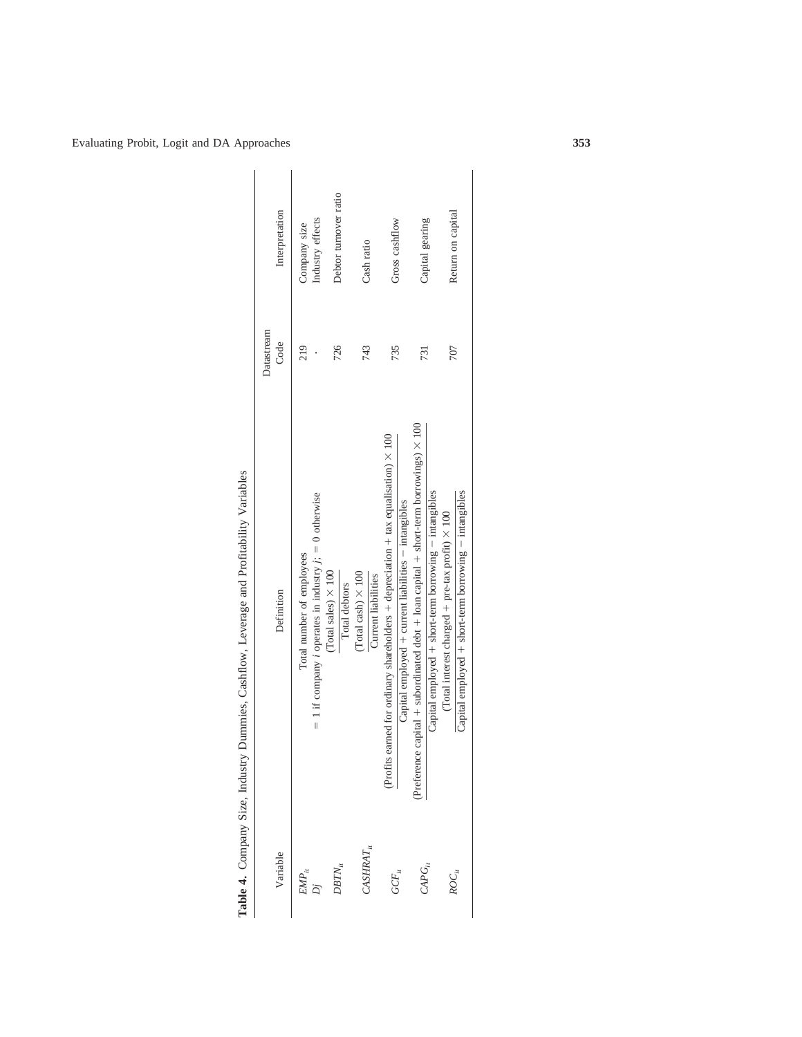|                        |                                                                                                                                                             | Datastream |                       |
|------------------------|-------------------------------------------------------------------------------------------------------------------------------------------------------------|------------|-----------------------|
| Variable               | Definition                                                                                                                                                  | Code       | Interpretation        |
|                        | Total number of employees                                                                                                                                   | 219        | Company size          |
| EMP <sub>u</sub><br>Dj | $= 1$ if company <i>i</i> operates in industry $j$ ; $= 0$ otherwise                                                                                        |            | Industry effects      |
| $DBTN_{it}$            | (Total sales) $\times$ 100<br>Total debtors                                                                                                                 | 726        | Debtor turnover ratio |
| $\mathbb{C}$ ASHRAT,   | (Total cash) $\times$ 100<br>Current liabilities                                                                                                            | 743        | Cash ratio            |
| $G F_{\mu}$            | Profits earned for ordinary shareholders + depreciation + tax equalisation) $\times$ 100<br>$Capital$ employed $+$ current liabilities $-$ intangibles      | 735        | Gross cashflow        |
| $\mathbb{C}APG_{it}$   | capital + subordinated debt + loan capital + short-term borrowings) $\times$ 100<br>Capital employed $+$ short-term borrowing $-$ intangibles<br>Preterence | 731        | Capital gearing       |
| $ROC_{ii}$             | $Capital$ employed $+$ short-term borrowing $-$ intangibles<br>(Total interest charged + pre-tax profit) $\times$ 100                                       | 707        | Return on capital     |
|                        |                                                                                                                                                             |            |                       |

Table 4. Company Size, Industry Dummies, Cashflow, Leverage and Profitability Variables **Table 4.** Company Size, Industry Dummies, Cashflow, Leverage and Profitability Variables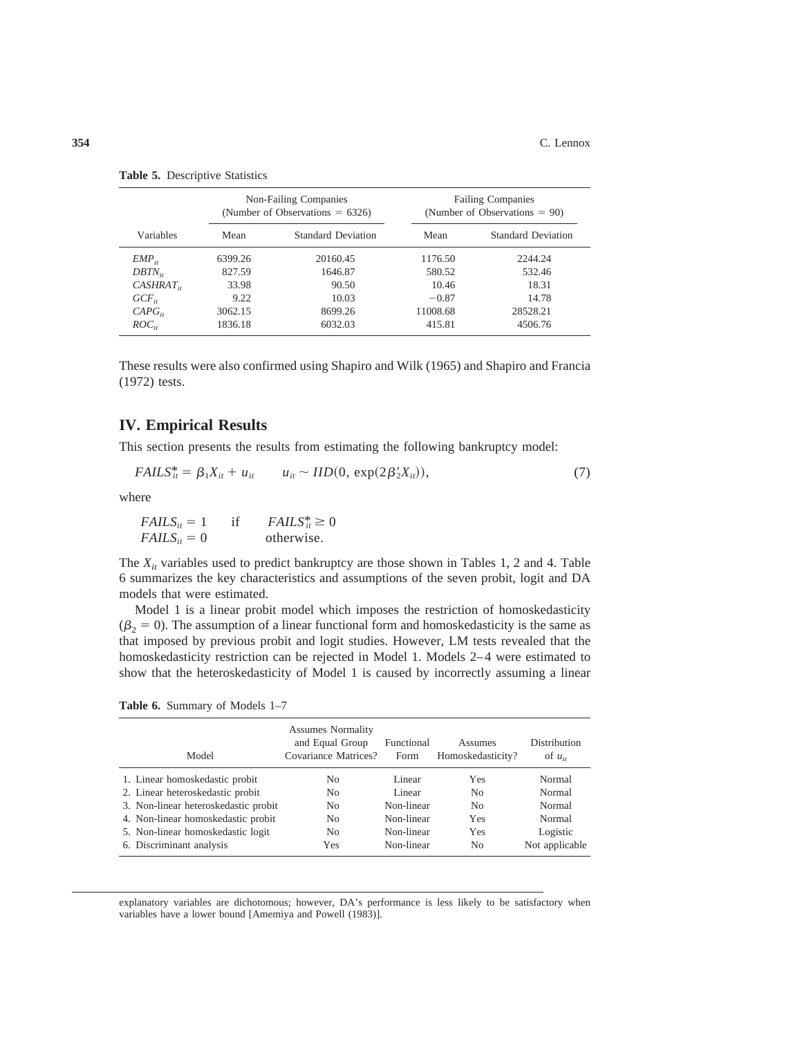|                |                                   | Non-Failing Companies<br>(Number of Observations $= 6326$ ) | <b>Failing Companies</b><br>(Number of Observations $= 90$ ) |                           |  |
|----------------|-----------------------------------|-------------------------------------------------------------|--------------------------------------------------------------|---------------------------|--|
| Variables      | <b>Standard Deviation</b><br>Mean |                                                             | Mean                                                         | <b>Standard Deviation</b> |  |
| $EMP_{ii}$     | 6399.26                           | 20160.45                                                    | 1176.50                                                      | 2244.24                   |  |
| $DBTN_{ir}$    | 827.59                            | 1646.87                                                     | 580.52                                                       | 532.46                    |  |
| $CASHRAT_{ir}$ | 33.98                             | 90.50                                                       | 10.46                                                        | 18.31                     |  |
| $GCF_{ir}$     | 9.22                              | 10.03                                                       | $-0.87$                                                      | 14.78                     |  |
| $CAPG_{ir}$    | 3062.15                           | 8699.26                                                     | 11008.68                                                     | 28528.21                  |  |
| $ROC_{ii}$     | 1836.18                           | 6032.03                                                     | 415.81                                                       | 4506.76                   |  |

| <b>Table 5.</b> Descriptive Statistics |  |  |  |  |
|----------------------------------------|--|--|--|--|
|----------------------------------------|--|--|--|--|

These results were also confirmed using Shapiro and Wilk (1965) and Shapiro and Francia (1972) tests.

#### **IV. Empirical Results**

This section presents the results from estimating the following bankruptcy model:

$$
FAILS_{it}^{*} = \beta_{1}X_{it} + u_{it} \qquad u_{it} \sim IID(0, \exp(2\beta_{2}X_{it})), \qquad (7)
$$

where

$$
FAILS_{it} = 1 \t\t if \t FAILS_{it}^{*} \ge 0
$$
  

$$
FAILS_{it} = 0 \t\t otherwise.
$$

The  $X_{it}$  variables used to predict bankruptcy are those shown in Tables 1, 2 and 4. Table 6 summarizes the key characteristics and assumptions of the seven probit, logit and DA models that were estimated.

Model 1 is a linear probit model which imposes the restriction of homoskedasticity  $(\beta_2 = 0)$ . The assumption of a linear functional form and homoskedasticity is the same as that imposed by previous probit and logit studies. However, LM tests revealed that the homoskedasticity restriction can be rejected in Model 1. Models 2–4 were estimated to show that the heteroskedasticity of Model 1 is caused by incorrectly assuming a linear

**Table 6.** Summary of Models 1–7

| Model                                | <b>Assumes Normality</b><br>and Equal Group<br>Covariance Matrices? | Functional<br>Form | Assumes<br>Homoskedasticity? | <b>Distribution</b><br>of $u_{it}$ |
|--------------------------------------|---------------------------------------------------------------------|--------------------|------------------------------|------------------------------------|
| 1. Linear homoskedastic probit       | No                                                                  | Linear             | Yes                          | Normal                             |
| 2. Linear heteroskedastic probit     | No                                                                  | Linear             | No                           | Normal                             |
| 3. Non-linear heteroskedastic probit | No                                                                  | Non-linear         | No                           | Normal                             |
| 4. Non-linear homoskedastic probit   | No                                                                  | Non-linear         | Yes                          | Normal                             |
| 5. Non-linear homoskedastic logit    | No                                                                  | Non-linear         | <b>Yes</b>                   | Logistic                           |
| 6. Discriminant analysis             | <b>Yes</b>                                                          | Non-linear         | No                           | Not applicable                     |

explanatory variables are dichotomous; however, DA's performance is less likely to be satisfactory when variables have a lower bound [Amemiya and Powell (1983)].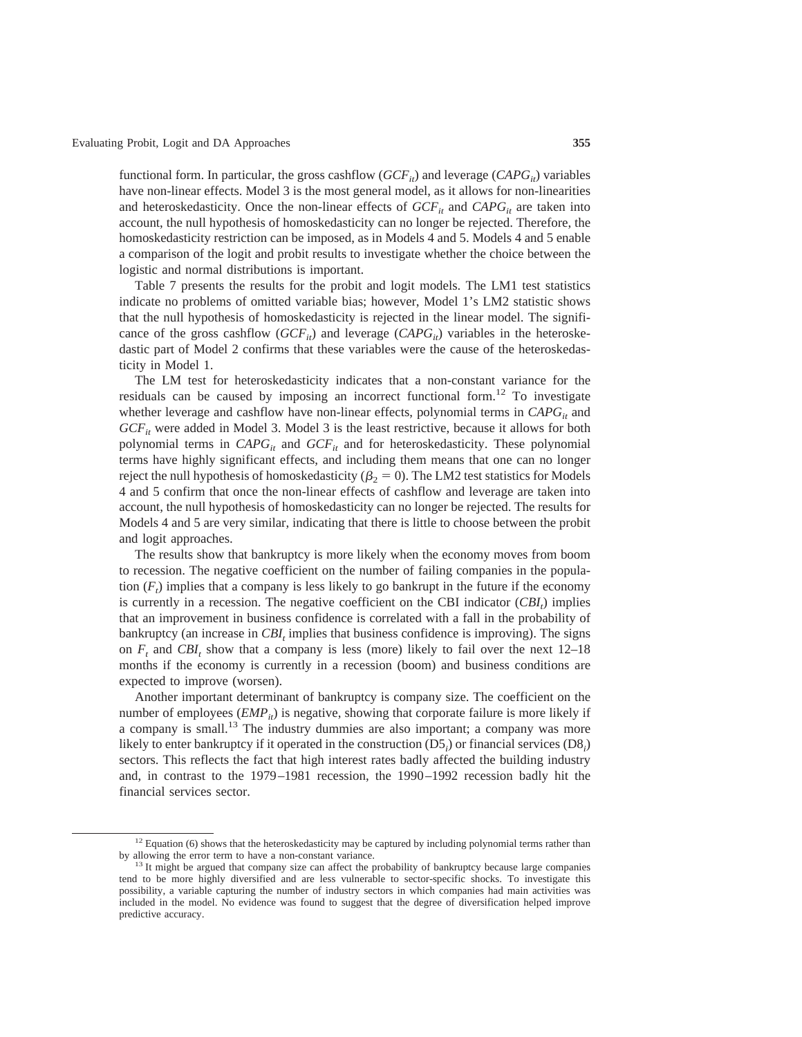functional form. In particular, the gross cashflow  $(GCF_{ii})$  and leverage  $(CAPG_{ii})$  variables have non-linear effects. Model 3 is the most general model, as it allows for non-linearities and heteroskedasticity. Once the non-linear effects of  $GCF_{it}$  and  $CAPG_{it}$  are taken into account, the null hypothesis of homoskedasticity can no longer be rejected. Therefore, the homoskedasticity restriction can be imposed, as in Models 4 and 5. Models 4 and 5 enable a comparison of the logit and probit results to investigate whether the choice between the logistic and normal distributions is important.

Table 7 presents the results for the probit and logit models. The LM1 test statistics indicate no problems of omitted variable bias; however, Model 1's LM2 statistic shows that the null hypothesis of homoskedasticity is rejected in the linear model. The significance of the gross cashflow  $(GCF_{ii})$  and leverage  $(CAPG_{ii})$  variables in the heteroskedastic part of Model 2 confirms that these variables were the cause of the heteroskedasticity in Model 1.

The LM test for heteroskedasticity indicates that a non-constant variance for the residuals can be caused by imposing an incorrect functional form.<sup>12</sup> To investigate whether leverage and cashflow have non-linear effects, polynomial terms in  $CAPG<sub>it</sub>$  and  $GCF_{i}$  were added in Model 3. Model 3 is the least restrictive, because it allows for both polynomial terms in  $CAPG_{it}$  and  $GCF_{it}$  and for heteroskedasticity. These polynomial terms have highly significant effects, and including them means that one can no longer reject the null hypothesis of homoskedasticity ( $\beta_2 = 0$ ). The LM2 test statistics for Models 4 and 5 confirm that once the non-linear effects of cashflow and leverage are taken into account, the null hypothesis of homoskedasticity can no longer be rejected. The results for Models 4 and 5 are very similar, indicating that there is little to choose between the probit and logit approaches.

The results show that bankruptcy is more likely when the economy moves from boom to recession. The negative coefficient on the number of failing companies in the population  $(F_t)$  implies that a company is less likely to go bankrupt in the future if the economy is currently in a recession. The negative coefficient on the CBI indicator  $(CBI<sub>t</sub>)$  implies that an improvement in business confidence is correlated with a fall in the probability of bankruptcy (an increase in *CBI*, implies that business confidence is improving). The signs on  $F_t$  and *CBI*, show that a company is less (more) likely to fail over the next 12–18 months if the economy is currently in a recession (boom) and business conditions are expected to improve (worsen).

Another important determinant of bankruptcy is company size. The coefficient on the number of employees  $(EMP_{it})$  is negative, showing that corporate failure is more likely if a company is small.<sup>13</sup> The industry dummies are also important; a company was more likely to enter bankruptcy if it operated in the construction (D5*<sup>i</sup>* ) or financial services (D8*<sup>i</sup>* ) sectors. This reflects the fact that high interest rates badly affected the building industry and, in contrast to the 1979–1981 recession, the 1990–1992 recession badly hit the financial services sector.

 $12$  Equation (6) shows that the heteroskedasticity may be captured by including polynomial terms rather than by allowing the error term to have a non-constant variance.

<sup>&</sup>lt;sup>13</sup> It might be argued that company size can affect the probability of bankruptcy because large companies tend to be more highly diversified and are less vulnerable to sector-specific shocks. To investigate this possibility, a variable capturing the number of industry sectors in which companies had main activities was included in the model. No evidence was found to suggest that the degree of diversification helped improve predictive accuracy.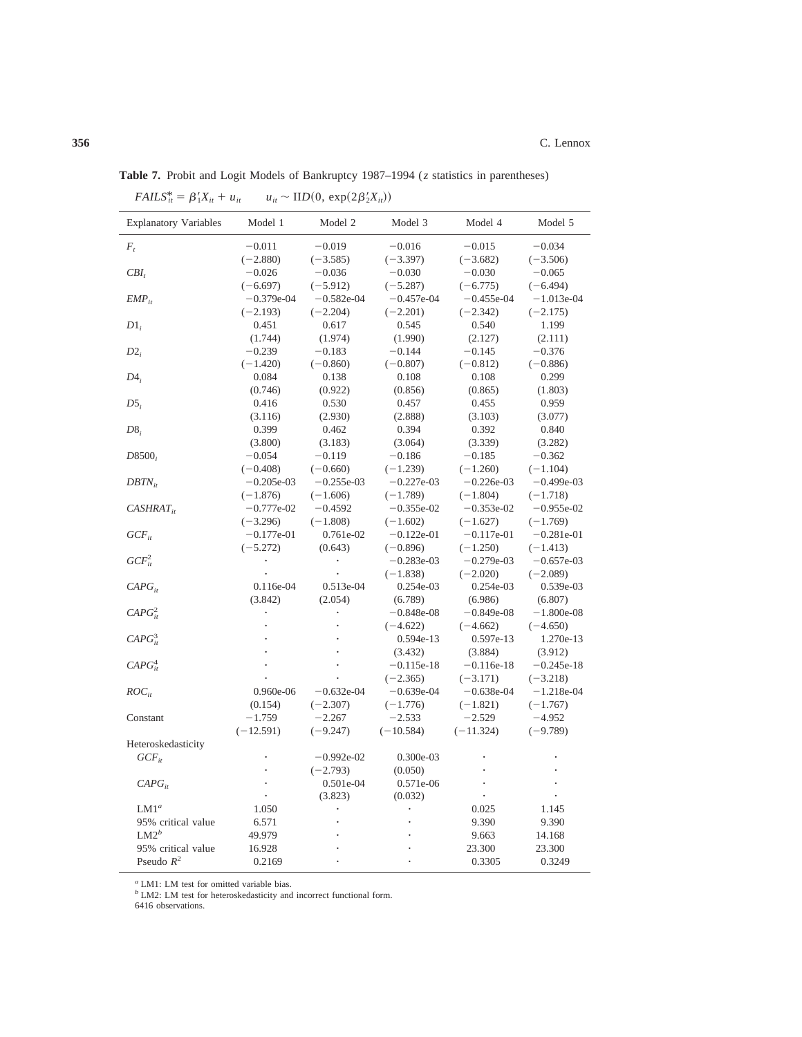| $r_{\text{ALLD}_{it}} - \rho_1 \Lambda_{it} + u_{it}$ | $u_{it}$     | $\sim$ 11D(0, exp( $\angle p_2A_{it}$ ) |              |              |              |
|-------------------------------------------------------|--------------|-----------------------------------------|--------------|--------------|--------------|
| <b>Explanatory Variables</b>                          | Model 1      | Model 2                                 | Model 3      | Model 4      | Model 5      |
| $F_t$                                                 | $-0.011$     | $-0.019$                                | $-0.016$     | $-0.015$     | $-0.034$     |
|                                                       | $(-2.880)$   | $(-3.585)$                              | $(-3.397)$   | $(-3.682)$   | $(-3.506)$   |
| CBI,                                                  | $-0.026$     | $-0.036$                                | $-0.030$     | $-0.030$     | $-0.065$     |
|                                                       | $(-6.697)$   | $(-5.912)$                              | $(-5.287)$   | $(-6.775)$   | $(-6.494)$   |
| $EMP_{it}$                                            | $-0.379e-04$ | $-0.582e-04$                            | $-0.457e-04$ | $-0.455e-04$ | $-1.013e-04$ |
|                                                       | $(-2.193)$   | $(-2.204)$                              | $(-2.201)$   | $(-2.342)$   | $(-2.175)$   |
| $D1_i$                                                | 0.451        | 0.617                                   | 0.545        | 0.540        | 1.199        |
|                                                       | (1.744)      | (1.974)                                 | (1.990)      | (2.127)      | (2.111)      |
| $D2_i$                                                | $-0.239$     | $-0.183$                                | $-0.144$     | $-0.145$     | $-0.376$     |
|                                                       | $(-1.420)$   | $(-0.860)$                              | $(-0.807)$   | $(-0.812)$   | $(-0.886)$   |
| $D4_i$                                                | 0.084        | 0.138                                   | 0.108        | 0.108        | 0.299        |
|                                                       | (0.746)      | (0.922)                                 | (0.856)      | (0.865)      | (1.803)      |
| $D5_i$                                                | 0.416        | 0.530                                   | 0.457        | 0.455        | 0.959        |
|                                                       | (3.116)      | (2.930)                                 | (2.888)      | (3.103)      | (3.077)      |
| $D8_i$                                                | 0.399        | 0.462                                   | 0.394        | 0.392        | 0.840        |
|                                                       | (3.800)      | (3.183)                                 | (3.064)      | (3.339)      | (3.282)      |
| D8500,                                                | $-0.054$     | $-0.119$                                | $-0.186$     | $-0.185$     | $-0.362$     |
|                                                       | $(-0.408)$   | $(-0.660)$                              | $(-1.239)$   | $(-1.260)$   | $(-1.104)$   |
| $DBTN_{it}$                                           | $-0.205e-03$ | $-0.255e-03$                            | $-0.227e-03$ | $-0.226e-03$ | $-0.499e-03$ |
|                                                       | $(-1.876)$   | $(-1.606)$                              | $(-1.789)$   | $(-1.804)$   | $(-1.718)$   |
| $CASHRAT_{it}$                                        | $-0.777e-02$ | $-0.4592$                               | $-0.355e-02$ | $-0.353e-02$ | $-0.955e-02$ |
|                                                       | $(-3.296)$   | $(-1.808)$                              | $(-1.602)$   | $(-1.627)$   | $(-1.769)$   |
| $GCF_{it}$                                            | $-0.177e-01$ | 0.761e-02                               | $-0.122e-01$ | $-0.117e-01$ | $-0.281e-01$ |
|                                                       | $(-5.272)$   | (0.643)                                 | $(-0.896)$   | $(-1.250)$   | $(-1.413)$   |
| $GCF^2_{it}$                                          |              |                                         | $-0.283e-03$ | $-0.279e-03$ | $-0.657e-03$ |
|                                                       |              |                                         | $(-1.838)$   | $(-2.020)$   | $(-2.089)$   |
| $CAPG_{ii}$                                           | 0.116e-04    | 0.513e-04                               | 0.254e-03    | 0.254e-03    | 0.539e-03    |
|                                                       | (3.842)      | (2.054)                                 | (6.789)      | (6.986)      | (6.807)      |
| CAPG <sub>ir</sub> <sup>2</sup>                       |              |                                         | $-0.848e-08$ | $-0.849e-08$ | $-1.800e-08$ |
|                                                       |              |                                         | $(-4.622)$   | $(-4.662)$   | $(-4.650)$   |
| CAPG <sub>it</sub> <sup>3</sup>                       |              |                                         | $0.594e-13$  | 0.597e-13    | 1.270e-13    |
|                                                       |              |                                         | (3.432)      | (3.884)      | (3.912)      |
| $CAPG_{it}^4$                                         |              |                                         | $-0.115e-18$ | $-0.116e-18$ | $-0.245e-18$ |
|                                                       |              |                                         | $(-2.365)$   | $(-3.171)$   | $(-3.218)$   |
| $ROC_{it}$                                            | 0.960e-06    | $-0.632e-04$                            | $-0.639e-04$ | $-0.638e-04$ | $-1.218e-04$ |
|                                                       | (0.154)      | $(-2.307)$                              | $(-1.776)$   | $(-1.821)$   | $(-1.767)$   |
| Constant                                              | $-1.759$     | $-2.267$                                | $-2.533$     | $-2.529$     | $-4.952$     |
|                                                       | $(-12.591)$  | $(-9.247)$                              | $(-10.584)$  | $(-11.324)$  | $(-9.789)$   |
| Heteroskedasticity                                    |              |                                         |              |              |              |
| $GCF_{ir}$                                            |              | $-0.992e-02$                            | 0.300e-03    |              |              |
|                                                       |              | $(-2.793)$                              | (0.050)      |              |              |
| $CAPG_{ii}$                                           |              | 0.501e-04                               | 0.571e-06    |              |              |
|                                                       |              | (3.823)                                 | (0.032)      |              |              |
| LM1 <sup>a</sup>                                      | 1.050        |                                         |              | 0.025        | 1.145        |
| 95% critical value                                    | 6.571        |                                         |              | 9.390        | 9.390        |
| $LM2^b$                                               | 49.979       |                                         |              | 9.663        | 14.168       |
| 95% critical value                                    | 16.928       |                                         |              | 23.300       | 23.300       |
| Pseudo $R^2$                                          | 0.2169       |                                         |              | 0.3305       | 0.3249       |
|                                                       |              |                                         |              |              |              |

**Table 7.** Probit and Logit Models of Bankruptcy 1987–1994 (*z* statistics in parentheses)

 $F A H S^* = B' V + \mu$  $u_{it} = u_{it} \sim \text{IID}(0, \exp(2\beta_2'X_{it}))$ 

*<sup>a</sup>* LM1: LM test for omitted variable bias.

*<sup>b</sup>* LM2: LM test for heteroskedasticity and incorrect functional form.

6416 observations.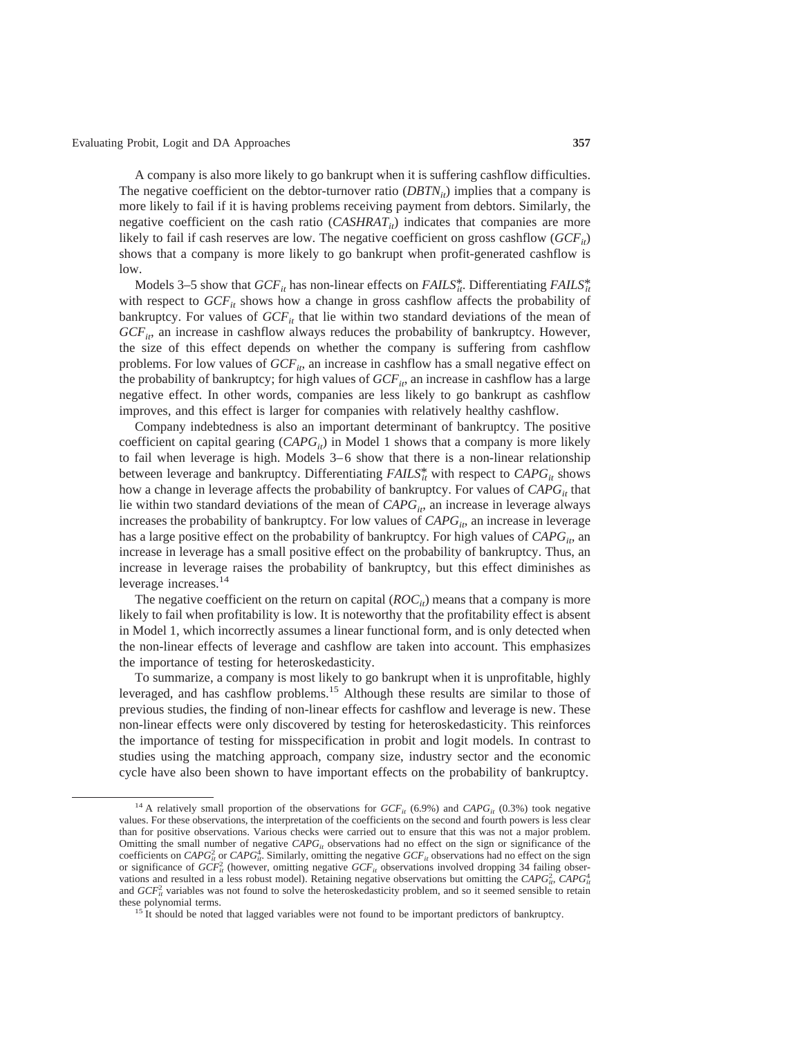A company is also more likely to go bankrupt when it is suffering cashflow difficulties. The negative coefficient on the debtor-turnover ratio  $(DBTN_{ii})$  implies that a company is more likely to fail if it is having problems receiving payment from debtors. Similarly, the negative coefficient on the cash ratio  $(CASHRAT_{ii})$  indicates that companies are more likely to fail if cash reserves are low. The negative coefficient on gross cashflow  $(GCF_{i})$ shows that a company is more likely to go bankrupt when profit-generated cashflow is low.

Models 3–5 show that  $GCF_i$  has non-linear effects on  $FAILS_i^*$ . Differentiating  $FAILS_i^*$ with respect to  $GCF_{it}$  shows how a change in gross cashflow affects the probability of bankruptcy. For values of  $GCF_{it}$  that lie within two standard deviations of the mean of *GCF<sub>it</sub>*, an increase in cashflow always reduces the probability of bankruptcy. However, the size of this effect depends on whether the company is suffering from cashflow problems. For low values of  $GCF_{it}$ , an increase in cashflow has a small negative effect on the probability of bankruptcy; for high values of  $GCF_{it}$ , an increase in cashflow has a large negative effect. In other words, companies are less likely to go bankrupt as cashflow improves, and this effect is larger for companies with relatively healthy cashflow.

Company indebtedness is also an important determinant of bankruptcy. The positive coefficient on capital gearing  $(CAPG_i)$  in Model 1 shows that a company is more likely to fail when leverage is high. Models 3–6 show that there is a non-linear relationship between leverage and bankruptcy. Differentiating  $FAILS^*_{it}$  with respect to  $CAPG_{it}$  shows how a change in leverage affects the probability of bankruptcy. For values of  $CAPG<sub>i</sub>$  that lie within two standard deviations of the mean of  $CAPG<sub>ir</sub>$ , an increase in leverage always increases the probability of bankruptcy. For low values of  $CAPG<sub>ir</sub>$ , an increase in leverage has a large positive effect on the probability of bankruptcy. For high values of *CAPG<sub>in</sub>* an increase in leverage has a small positive effect on the probability of bankruptcy. Thus, an increase in leverage raises the probability of bankruptcy, but this effect diminishes as leverage increases.<sup>14</sup>

The negative coefficient on the return on capital  $(ROC_{ii})$  means that a company is more likely to fail when profitability is low. It is noteworthy that the profitability effect is absent in Model 1, which incorrectly assumes a linear functional form, and is only detected when the non-linear effects of leverage and cashflow are taken into account. This emphasizes the importance of testing for heteroskedasticity.

To summarize, a company is most likely to go bankrupt when it is unprofitable, highly leveraged, and has cashflow problems.15 Although these results are similar to those of previous studies, the finding of non-linear effects for cashflow and leverage is new. These non-linear effects were only discovered by testing for heteroskedasticity. This reinforces the importance of testing for misspecification in probit and logit models. In contrast to studies using the matching approach, company size, industry sector and the economic cycle have also been shown to have important effects on the probability of bankruptcy.

<sup>&</sup>lt;sup>14</sup> A relatively small proportion of the observations for  $GCF_{it}$  (6.9%) and  $CAPG_{it}$  (0.3%) took negative values. For these observations, the interpretation of the coefficients on the second and fourth powers is less clear than for positive observations. Various checks were carried out to ensure that this was not a major problem. Omitting the small number of negative *CAPG<sub>it</sub>* observations had no effect on the sign or significance of the coefficients on  $CAPG_i^2$  or  $CAPG_{ir}^4$ . Similarly, omitting the negative  $GCF_{it}$  observations had no effect on the sign or significance of  $GCF_{it}^2$  (however, omitting negative  $GCF_{it}$  observations involved dropping 34 failing observations and resulted in a less robust model). Retaining negative observations but omitting the  $CAPG<sub>i</sub><sup>2</sup>, CAPG<sub>i</sub><sup>4</sup>$ and *GCF<sup>2</sup><sub>it</sub>* variables was not found to solve the heteroskedasticity problem, and so it seemed sensible to retain these polynomial terms. <sup>15</sup> It should be noted that lagged variables were not found to be important predictors of bankruptcy.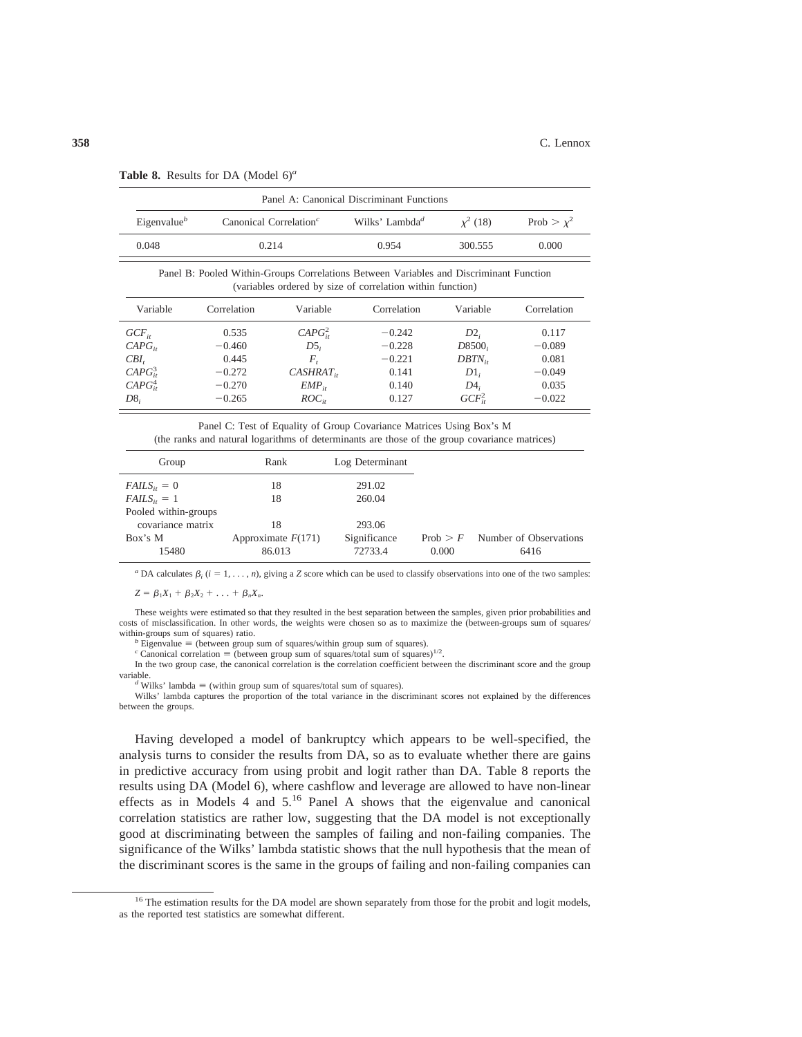| Panel A: Canonical Discriminant Functions |                                                 |                            |           |                 |  |  |  |  |  |
|-------------------------------------------|-------------------------------------------------|----------------------------|-----------|-----------------|--|--|--|--|--|
| Eigenvalue $^b$                           | Canonical Correlation <sup><math>c</math></sup> | Wilks' Lambda <sup>d</sup> | $x^2(18)$ | Prob $> \chi^2$ |  |  |  |  |  |
| 0.048                                     | 0.214                                           | 0.954                      | 300.555   | 0.000           |  |  |  |  |  |

**Table 8.** Results for DA (Model  $6)^a$ 

Panel B: Pooled Within-Groups Correlations Between Variables and Discriminant Function (variables ordered by size of correlation within function)

| Variable                        | Correlation | Variable                        | Correlation | Variable                       | Correlation |
|---------------------------------|-------------|---------------------------------|-------------|--------------------------------|-------------|
| $GCF_{it}$                      | 0.535       | CAPG <sub>it</sub> <sup>2</sup> | $-0.242$    | $D2_i$                         | 0.117       |
| $CAPG_{ir}$                     | $-0.460$    | $D5_i$                          | $-0.228$    | $D8500_i$                      | $-0.089$    |
| $CBI$ ,                         | 0.445       | F.                              | $-0.221$    | $DBTN_{it}$                    | 0.081       |
| CAPG <sub>ir</sub> <sup>3</sup> | $-0.272$    | $CASHRAT_{ir}$                  | 0.141       | $D1_i$                         | $-0.049$    |
| CAPG <sub>ir</sub> <sup>4</sup> | $-0.270$    | $EMP_{it}$                      | 0.140       | D4,                            | 0.035       |
| $D8_i$                          | $-0.265$    | $ROC_{i}$                       | 0.127       | GCF <sub>ir</sub> <sup>2</sup> | $-0.022$    |

Panel C: Test of Equality of Group Covariance Matrices Using Box's M

(the ranks and natural logarithms of determinants are those of the group covariance matrices)

| Group                | Rank                 | Log Determinant |       |                                      |
|----------------------|----------------------|-----------------|-------|--------------------------------------|
| $FAILS_{ir} = 0$     | 18                   | 291.02          |       |                                      |
| $FAILS_{ir} = 1$     | 18                   | 260.04          |       |                                      |
| Pooled within-groups |                      |                 |       |                                      |
| covariance matrix    | 18                   | 293.06          |       |                                      |
| Box's M              | Approximate $F(171)$ | Significance    |       | Prob $\geq F$ Number of Observations |
| 15480                | 86.013               | 72733.4         | 0.000 | 6416                                 |

*a* DA calculates  $\beta$ ,  $(i = 1, \ldots, n)$ , giving a *Z* score which can be used to classify observations into one of the two samples:

 $Z = \beta_1 X_1 + \beta_2 X_2 + \ldots + \beta_n X_n$ .

These weights were estimated so that they resulted in the best separation between the samples, given prior probabilities and costs of misclassification. In other words, the weights were chosen so as to maximize the (between-groups sum of squares/ within-groups sum of squares) ratio.<br>*b* Eigenvalue = (between group sum of squares/within group sum of squares).<br>*c* Canonical correlation = (between group sum of squares/total sum of squares)<sup>1/2</sup>.

In the two group case, the canonical correlation is the correlation coefficient between the discriminant score and the group variable.  $d$  Wilks' lambda  $\equiv$  (within group sum of squares/total sum of squares).

Wilks' lambda captures the proportion of the total variance in the discriminant scores not explained by the differences between the groups.

Having developed a model of bankruptcy which appears to be well-specified, the analysis turns to consider the results from DA, so as to evaluate whether there are gains in predictive accuracy from using probit and logit rather than DA. Table 8 reports the results using DA (Model 6), where cashflow and leverage are allowed to have non-linear effects as in Models 4 and  $5<sup>16</sup>$  Panel A shows that the eigenvalue and canonical correlation statistics are rather low, suggesting that the DA model is not exceptionally good at discriminating between the samples of failing and non-failing companies. The significance of the Wilks' lambda statistic shows that the null hypothesis that the mean of the discriminant scores is the same in the groups of failing and non-failing companies can

<sup>&</sup>lt;sup>16</sup> The estimation results for the DA model are shown separately from those for the probit and logit models, as the reported test statistics are somewhat different.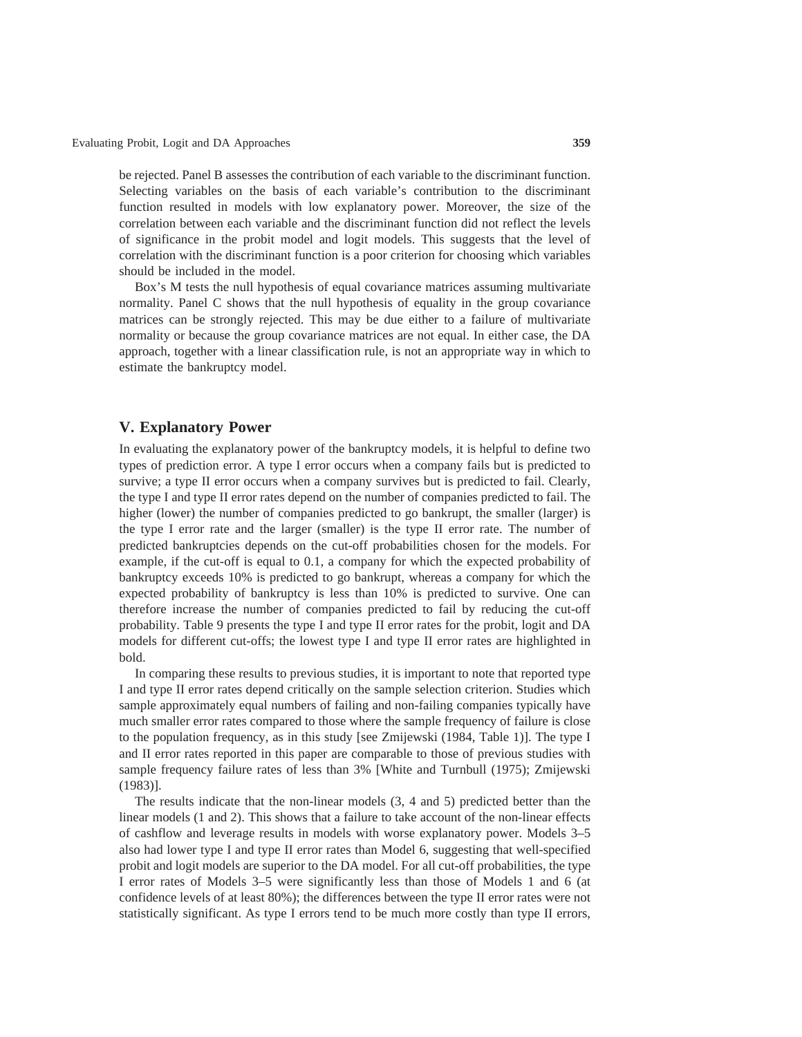be rejected. Panel B assesses the contribution of each variable to the discriminant function. Selecting variables on the basis of each variable's contribution to the discriminant function resulted in models with low explanatory power. Moreover, the size of the correlation between each variable and the discriminant function did not reflect the levels of significance in the probit model and logit models. This suggests that the level of correlation with the discriminant function is a poor criterion for choosing which variables should be included in the model.

Box's M tests the null hypothesis of equal covariance matrices assuming multivariate normality. Panel C shows that the null hypothesis of equality in the group covariance matrices can be strongly rejected. This may be due either to a failure of multivariate normality or because the group covariance matrices are not equal. In either case, the DA approach, together with a linear classification rule, is not an appropriate way in which to estimate the bankruptcy model.

#### **V. Explanatory Power**

In evaluating the explanatory power of the bankruptcy models, it is helpful to define two types of prediction error. A type I error occurs when a company fails but is predicted to survive; a type II error occurs when a company survives but is predicted to fail. Clearly, the type I and type II error rates depend on the number of companies predicted to fail. The higher (lower) the number of companies predicted to go bankrupt, the smaller (larger) is the type I error rate and the larger (smaller) is the type II error rate. The number of predicted bankruptcies depends on the cut-off probabilities chosen for the models. For example, if the cut-off is equal to 0.1, a company for which the expected probability of bankruptcy exceeds 10% is predicted to go bankrupt, whereas a company for which the expected probability of bankruptcy is less than 10% is predicted to survive. One can therefore increase the number of companies predicted to fail by reducing the cut-off probability. Table 9 presents the type I and type II error rates for the probit, logit and DA models for different cut-offs; the lowest type I and type II error rates are highlighted in bold.

In comparing these results to previous studies, it is important to note that reported type I and type II error rates depend critically on the sample selection criterion. Studies which sample approximately equal numbers of failing and non-failing companies typically have much smaller error rates compared to those where the sample frequency of failure is close to the population frequency, as in this study [see Zmijewski (1984, Table 1)]. The type I and II error rates reported in this paper are comparable to those of previous studies with sample frequency failure rates of less than 3% [White and Turnbull (1975); Zmijewski (1983)].

The results indicate that the non-linear models (3, 4 and 5) predicted better than the linear models (1 and 2). This shows that a failure to take account of the non-linear effects of cashflow and leverage results in models with worse explanatory power. Models 3–5 also had lower type I and type II error rates than Model 6, suggesting that well-specified probit and logit models are superior to the DA model. For all cut-off probabilities, the type I error rates of Models 3–5 were significantly less than those of Models 1 and 6 (at confidence levels of at least 80%); the differences between the type II error rates were not statistically significant. As type I errors tend to be much more costly than type II errors,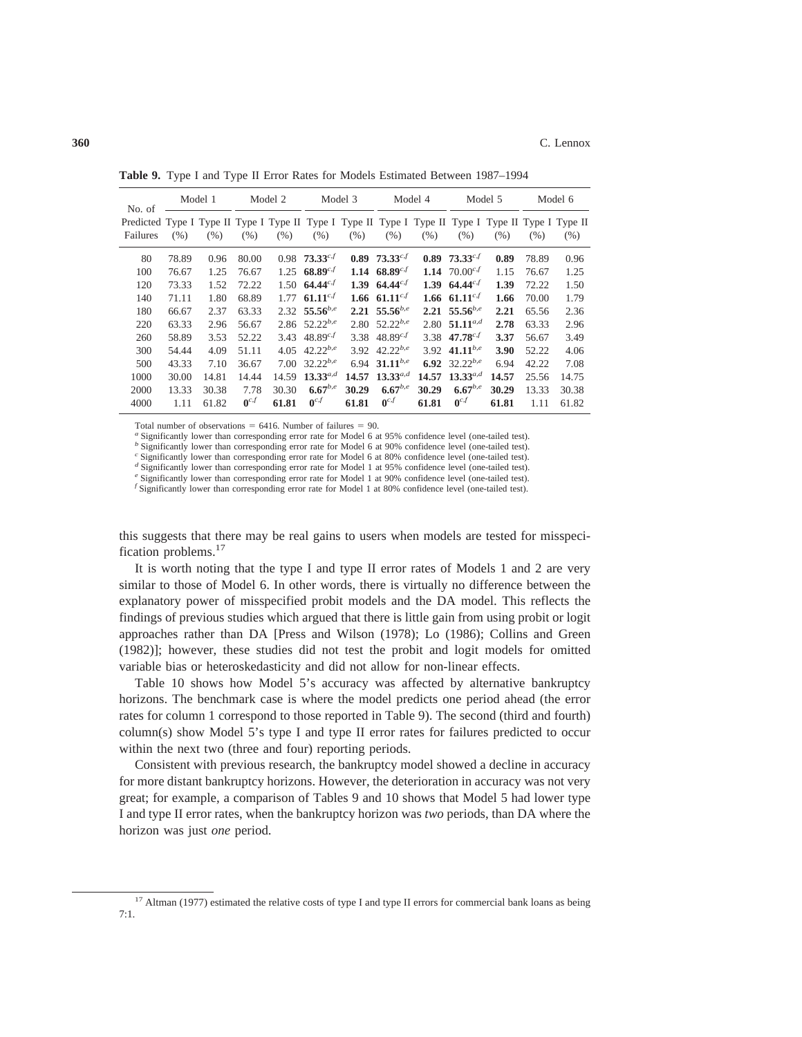| Model 1<br>No. of                                                                                                      |       | Model 2<br>Model 3 |                    |       | Model 4          |       | Model 5            |       | Model 6                   |       |       |       |
|------------------------------------------------------------------------------------------------------------------------|-------|--------------------|--------------------|-------|------------------|-------|--------------------|-------|---------------------------|-------|-------|-------|
| Predicted Type I Type II Type I Type I Type I Type II Type I Type II Type I Type II Type II Type I Type II<br>Failures | (% )  | (% )               | (% )               | (% )  | (% )             | (% )  | $(\% )$            | (% )  | (% )                      | (% )  | (% )  | (% )  |
| 80                                                                                                                     | 78.89 | 0.96               | 80.00              | 0.98  | $73.33^{c,f}$    | 0.89  | $73.33^{c,f}$      | 0.89  | $73.33^{c,f}$             | 0.89  | 78.89 | 0.96  |
| 100                                                                                                                    | 76.67 | 1.25               | 76.67              | 1.25  | $68.89^{c,f}$    | 1.14  | $68.89^{c,f}$      | 1.14  | $70.00^{c,f}$             | 1.15  | 76.67 | 1.25  |
| 120                                                                                                                    | 73.33 | 1.52               | 72.22              | 1.50  | $64.44^{c,f}$    | 1.39  | $64.44^{c,f}$      | 1.39  | $64.44^{c,f}$             | 1.39  | 72.22 | 1.50  |
| 140                                                                                                                    | 71.11 | 1.80               | 68.89              | 1.77  | $61.11^{c,f}$    | 1.66  | $61.11^{c,f}$      |       | 1.66 $61.11^{c,f}$        | 1.66  | 70.00 | 1.79  |
| 180                                                                                                                    | 66.67 | 2.37               | 63.33              |       | 2.32 55.56 $b,e$ |       | 2.21 $55.56^{b,e}$ |       | 2.21 55.56 <sup>b,e</sup> | 2.21  | 65.56 | 2.36  |
| 220                                                                                                                    | 63.33 | 2.96               | 56.67              | 2.86  | $52.22^{b,e}$    | 2.80  | $52.22^{b,e}$      | 2.80  | $51.11^{a,d}$             | 2.78  | 63.33 | 2.96  |
| 260                                                                                                                    | 58.89 | 3.53               | 52.22              | 3.43  | $48.89^{c,f}$    | 3.38  | $48.89^{c,f}$      |       | 3.38 $47.78^{c,f}$        | 3.37  | 56.67 | 3.49  |
| 300                                                                                                                    | 54.44 | 4.09               | 51.11              | 4.05  | $42.22^{b,e}$    | 3.92  | $42.22^{b,e}$      | 3.92  | $41.11^{b,e}$             | 3.90  | 52.22 | 4.06  |
| 500                                                                                                                    | 43.33 | 7.10               | 36.67              | 7.00  | $32.22^{b,e}$    | 6.94  | $31.11^{b,e}$      | 6.92  | $32.22^{b,e}$             | 6.94  | 42.22 | 7.08  |
| 1000                                                                                                                   | 30.00 | 14.81              | 14.44              | 14.59 | $13.33^{a,d}$    | 14.57 | $13.33^{a,d}$      | 14.57 | $13.33^{a,d}$             | 14.57 | 25.56 | 14.75 |
| 2000                                                                                                                   | 13.33 | 30.38              | 7.78               | 30.30 | $6.67^{b,e}$     | 30.29 | $6.67^{b,e}$       | 30.29 | $6.67^{b,e}$              | 30.29 | 13.33 | 30.38 |
| 4000                                                                                                                   | 1.11  | 61.82              | $\mathbf{0}^{c,f}$ | 61.81 | $0^{c,f}$        | 61.81 | $\mathbf{0}^{c,f}$ | 61.81 | $0^{c,f}$                 | 61.81 | 1.11  | 61.82 |

**Table 9.** Type I and Type II Error Rates for Models Estimated Between 1987–1994

Total number of observations = 6416. Number of failures = 90.<br><sup>*a*</sup> Significantly lower than corresponding error rate for Model 6 at 95% confidence level (one-tailed test).

*<sup>b</sup>* Significantly lower than corresponding error rate for Model 6 at 90% confidence level (one-tailed test).

*<sup>c</sup>* Significantly lower than corresponding error rate for Model 6 at 80% confidence level (one-tailed test).

*<sup>d</sup>* Significantly lower than corresponding error rate for Model 1 at 95% confidence level (one-tailed test).

*<sup>e</sup>* Significantly lower than corresponding error rate for Model 1 at 90% confidence level (one-tailed test).

*f* Significantly lower than corresponding error rate for Model 1 at 80% confidence level (one-tailed test).

this suggests that there may be real gains to users when models are tested for misspecification problems.17

It is worth noting that the type I and type II error rates of Models 1 and 2 are very similar to those of Model 6. In other words, there is virtually no difference between the explanatory power of misspecified probit models and the DA model. This reflects the findings of previous studies which argued that there is little gain from using probit or logit approaches rather than DA [Press and Wilson (1978); Lo (1986); Collins and Green (1982)]; however, these studies did not test the probit and logit models for omitted variable bias or heteroskedasticity and did not allow for non-linear effects.

Table 10 shows how Model 5's accuracy was affected by alternative bankruptcy horizons. The benchmark case is where the model predicts one period ahead (the error rates for column 1 correspond to those reported in Table 9). The second (third and fourth)  $\text{column}(s)$  show Model 5's type I and type II error rates for failures predicted to occur within the next two (three and four) reporting periods.

Consistent with previous research, the bankruptcy model showed a decline in accuracy for more distant bankruptcy horizons. However, the deterioration in accuracy was not very great; for example, a comparison of Tables 9 and 10 shows that Model 5 had lower type I and type II error rates, when the bankruptcy horizon was *two* periods, than DA where the horizon was just *one* period.

<sup>&</sup>lt;sup>17</sup> Altman (1977) estimated the relative costs of type I and type II errors for commercial bank loans as being 7:1.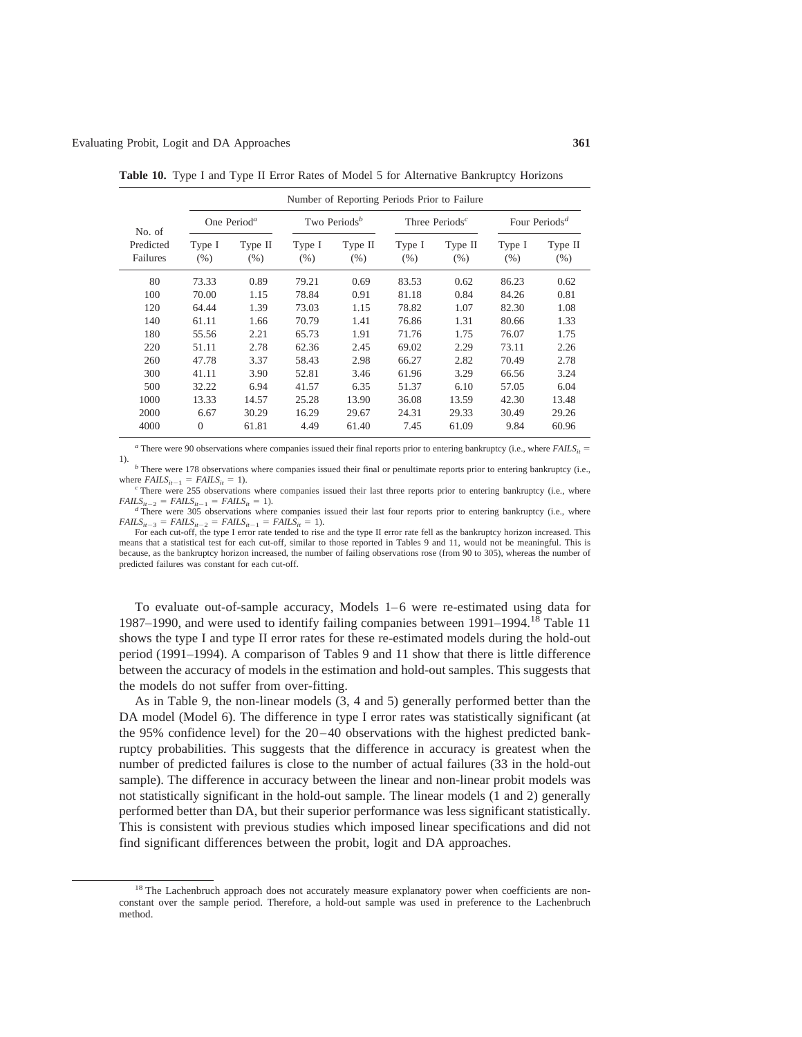|                                 | Number of Reporting Periods Prior to Failure |                         |                          |                 |                |                                         |                           |                 |  |  |  |
|---------------------------------|----------------------------------------------|-------------------------|--------------------------|-----------------|----------------|-----------------------------------------|---------------------------|-----------------|--|--|--|
| No. of<br>Predicted<br>Failures |                                              | One Period <sup>a</sup> | Two Periods <sup>b</sup> |                 |                | Three Periods <sup><math>c</math></sup> | Four Periods <sup>d</sup> |                 |  |  |  |
|                                 | Type I<br>$(\% )$                            | Type II<br>$(\% )$      | Type I<br>(% )           | Type II<br>(% ) | Type I<br>(% ) | Type II<br>(% )                         | Type I<br>(% )            | Type II<br>(% ) |  |  |  |
| 80                              | 73.33                                        | 0.89                    | 79.21                    | 0.69            | 83.53          | 0.62                                    | 86.23                     | 0.62            |  |  |  |
| 100                             | 70.00                                        | 1.15                    | 78.84                    | 0.91            | 81.18          | 0.84                                    | 84.26                     | 0.81            |  |  |  |
| 120                             | 64.44                                        | 1.39                    | 73.03                    | 1.15            | 78.82          | 1.07                                    | 82.30                     | 1.08            |  |  |  |
| 140                             | 61.11                                        | 1.66                    | 70.79                    | 1.41            | 76.86          | 1.31                                    | 80.66                     | 1.33            |  |  |  |
| 180                             | 55.56                                        | 2.21                    | 65.73                    | 1.91            | 71.76          | 1.75                                    | 76.07                     | 1.75            |  |  |  |
| 220                             | 51.11                                        | 2.78                    | 62.36                    | 2.45            | 69.02          | 2.29                                    | 73.11                     | 2.26            |  |  |  |
| 260                             | 47.78                                        | 3.37                    | 58.43                    | 2.98            | 66.27          | 2.82                                    | 70.49                     | 2.78            |  |  |  |
| 300                             | 41.11                                        | 3.90                    | 52.81                    | 3.46            | 61.96          | 3.29                                    | 66.56                     | 3.24            |  |  |  |
| 500                             | 32.22                                        | 6.94                    | 41.57                    | 6.35            | 51.37          | 6.10                                    | 57.05                     | 6.04            |  |  |  |
| 1000                            | 13.33                                        | 14.57                   | 25.28                    | 13.90           | 36.08          | 13.59                                   | 42.30                     | 13.48           |  |  |  |
| 2000                            | 6.67                                         | 30.29                   | 16.29                    | 29.67           | 24.31          | 29.33                                   | 30.49                     | 29.26           |  |  |  |
| 4000                            | $\Omega$                                     | 61.81                   | 4.49                     | 61.40           | 7.45           | 61.09                                   | 9.84                      | 60.96           |  |  |  |

**Table 10.** Type I and Type II Error Rates of Model 5 for Alternative Bankruptcy Horizons

 $a$  There were 90 observations where companies issued their final reports prior to entering bankruptcy (i.e., where *FAILS<sub>it</sub>* =

1). *b* There were 178 observations where companies issued their final or penultimate reports prior to entering bankruptcy (i.e., where  $FAILS_{ii-1} = FAILS_{ii} = 1$ ).

<sup>c</sup> There were 255 observations where companies issued their last three reports prior to entering bankruptcy (i.e., where  $FAILS_{it-2} = FAILS_{it-1} = FAILS_{it} = 1$ ).

<sup>d</sup> There were 305 observations where companies issued their last four reports prior to entering bankruptcy (i.e., where  $FAILS_{it-3} = FAILS_{it-2} = FAILS_{it-1} = FAILS_{it} = 1).$ 

For each cut-off, the type I error rate tended to rise and the type II error rate fell as the bankruptcy horizon increased. This means that a statistical test for each cut-off, similar to those reported in Tables 9 and 11, would not be meaningful. This is because, as the bankruptcy horizon increased, the number of failing observations rose (from 90 to 305), whereas the number of predicted failures was constant for each cut-off.

To evaluate out-of-sample accuracy, Models 1–6 were re-estimated using data for 1987–1990, and were used to identify failing companies between 1991–1994.<sup>18</sup> Table 11 shows the type I and type II error rates for these re-estimated models during the hold-out period (1991–1994). A comparison of Tables 9 and 11 show that there is little difference between the accuracy of models in the estimation and hold-out samples. This suggests that the models do not suffer from over-fitting.

As in Table 9, the non-linear models (3, 4 and 5) generally performed better than the DA model (Model 6). The difference in type I error rates was statistically significant (at the 95% confidence level) for the 20–40 observations with the highest predicted bankruptcy probabilities. This suggests that the difference in accuracy is greatest when the number of predicted failures is close to the number of actual failures (33 in the hold-out sample). The difference in accuracy between the linear and non-linear probit models was not statistically significant in the hold-out sample. The linear models (1 and 2) generally performed better than DA, but their superior performance was less significant statistically. This is consistent with previous studies which imposed linear specifications and did not find significant differences between the probit, logit and DA approaches.

<sup>&</sup>lt;sup>18</sup> The Lachenbruch approach does not accurately measure explanatory power when coefficients are nonconstant over the sample period. Therefore, a hold-out sample was used in preference to the Lachenbruch method.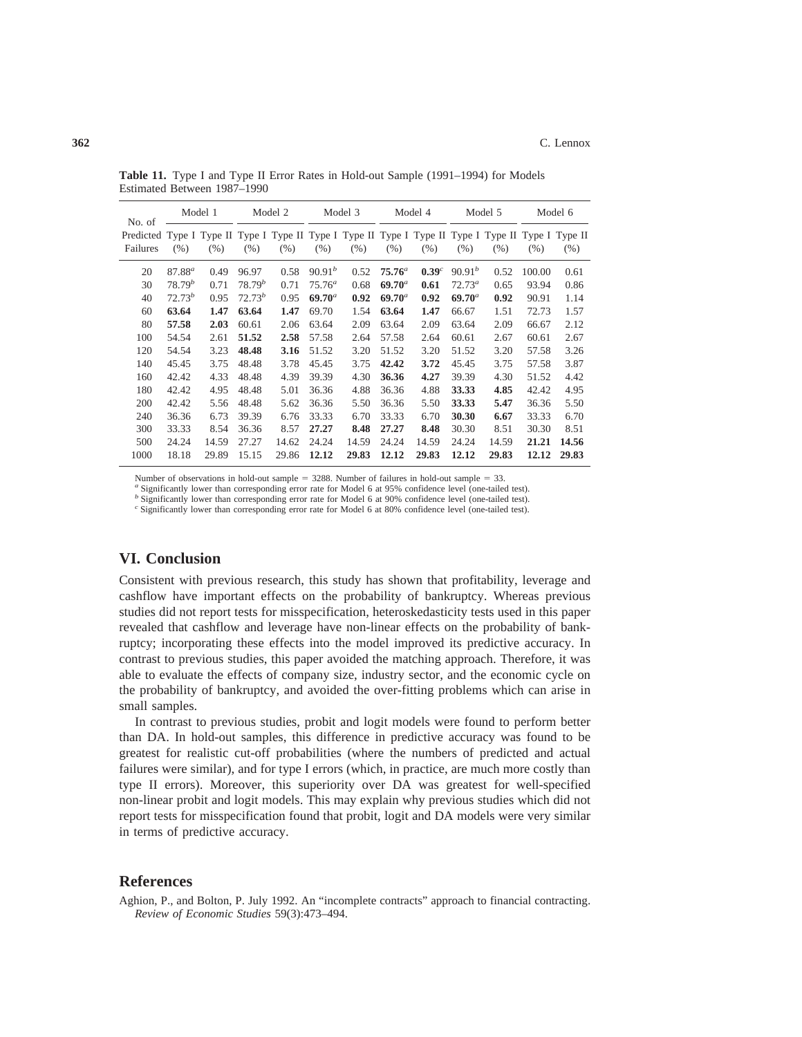| No. of                                                                                                          | Model 1     |       | Model 2     |       | Model 3     |       | Model 4         |                   | Model 5     |       | Model 6 |         |
|-----------------------------------------------------------------------------------------------------------------|-------------|-------|-------------|-------|-------------|-------|-----------------|-------------------|-------------|-------|---------|---------|
| Predicted Type I Type II Type I Type II Type I Type II Type I Type II Type I Type II Type II Type I<br>Failures | (% )        | (% )  | (% )        | (% )  | (% )        | (% )  | (% )            | (% )              | (%)         | (% )  | (% )    | $(\% )$ |
| 20                                                                                                              | $87.88^{a}$ | 0.49  | 96.97       | 0.58  | $90.91^{b}$ | 0.52  | $75.76^{\circ}$ | 0.39 <sup>c</sup> | $90.91^{b}$ | 0.52  | 100.00  | 0.61    |
| 30                                                                                                              | $78.79^{b}$ | 0.71  | $78.79^{b}$ | 0.71  | $75.76^a$   | 0.68  | $69.70^a$       | 0.61              | $72.73^a$   | 0.65  | 93.94   | 0.86    |
| 40                                                                                                              | $72.73^{b}$ | 0.95  | $72.73^{b}$ | 0.95  | $69.70^a$   | 0.92  | $69.70^{\circ}$ | 0.92              | $69.70^a$   | 0.92  | 90.91   | 1.14    |
| 60                                                                                                              | 63.64       | 1.47  | 63.64       | 1.47  | 69.70       | 1.54  | 63.64           | 1.47              | 66.67       | 1.51  | 72.73   | 1.57    |
| 80                                                                                                              | 57.58       | 2.03  | 60.61       | 2.06  | 63.64       | 2.09  | 63.64           | 2.09              | 63.64       | 2.09  | 66.67   | 2.12    |
| 100                                                                                                             | 54.54       | 2.61  | 51.52       | 2.58  | 57.58       | 2.64  | 57.58           | 2.64              | 60.61       | 2.67  | 60.61   | 2.67    |
| 120                                                                                                             | 54.54       | 3.23  | 48.48       | 3.16  | 51.52       | 3.20  | 51.52           | 3.20              | 51.52       | 3.20  | 57.58   | 3.26    |
| 140                                                                                                             | 45.45       | 3.75  | 48.48       | 3.78  | 45.45       | 3.75  | 42.42           | 3.72              | 45.45       | 3.75  | 57.58   | 3.87    |
| 160                                                                                                             | 42.42       | 4.33  | 48.48       | 4.39  | 39.39       | 4.30  | 36.36           | 4.27              | 39.39       | 4.30  | 51.52   | 4.42    |
| 180                                                                                                             | 42.42       | 4.95  | 48.48       | 5.01  | 36.36       | 4.88  | 36.36           | 4.88              | 33.33       | 4.85  | 42.42   | 4.95    |
| 200                                                                                                             | 42.42       | 5.56  | 48.48       | 5.62  | 36.36       | 5.50  | 36.36           | 5.50              | 33.33       | 5.47  | 36.36   | 5.50    |
| 240                                                                                                             | 36.36       | 6.73  | 39.39       | 6.76  | 33.33       | 6.70  | 33.33           | 6.70              | 30.30       | 6.67  | 33.33   | 6.70    |
| 300                                                                                                             | 33.33       | 8.54  | 36.36       | 8.57  | 27.27       | 8.48  | 27.27           | 8.48              | 30.30       | 8.51  | 30.30   | 8.51    |
| 500                                                                                                             | 24.24       | 14.59 | 27.27       | 14.62 | 24.24       | 14.59 | 24.24           | 14.59             | 24.24       | 14.59 | 21.21   | 14.56   |
| 1000                                                                                                            | 18.18       | 29.89 | 15.15       | 29.86 | 12.12       | 29.83 | 12.12           | 29.83             | 12.12       | 29.83 | 12.12   | 29.83   |
|                                                                                                                 |             |       |             |       |             |       |                 |                   |             |       |         |         |

**Table 11.** Type I and Type II Error Rates in Hold-out Sample (1991–1994) for Models Estimated Between 1987–1990

Number of observations in hold-out sample = 3288. Number of failures in hold-out sample = 33. *a* Significantly lower than corresponding error rate for Model 6 at 95% confidence level (one-tailed test).

*b* Significantly lower than corresponding error rate for Model 6 at 90% confidence level (one-tailed test).

*<sup>c</sup>* Significantly lower than corresponding error rate for Model 6 at 80% confidence level (one-tailed test).

### **VI. Conclusion**

Consistent with previous research, this study has shown that profitability, leverage and cashflow have important effects on the probability of bankruptcy. Whereas previous studies did not report tests for misspecification, heteroskedasticity tests used in this paper revealed that cashflow and leverage have non-linear effects on the probability of bankruptcy; incorporating these effects into the model improved its predictive accuracy. In contrast to previous studies, this paper avoided the matching approach. Therefore, it was able to evaluate the effects of company size, industry sector, and the economic cycle on the probability of bankruptcy, and avoided the over-fitting problems which can arise in small samples.

In contrast to previous studies, probit and logit models were found to perform better than DA. In hold-out samples, this difference in predictive accuracy was found to be greatest for realistic cut-off probabilities (where the numbers of predicted and actual failures were similar), and for type I errors (which, in practice, are much more costly than type II errors). Moreover, this superiority over DA was greatest for well-specified non-linear probit and logit models. This may explain why previous studies which did not report tests for misspecification found that probit, logit and DA models were very similar in terms of predictive accuracy.

#### **References**

Aghion, P., and Bolton, P. July 1992. An "incomplete contracts" approach to financial contracting. *Review of Economic Studies* 59(3):473–494.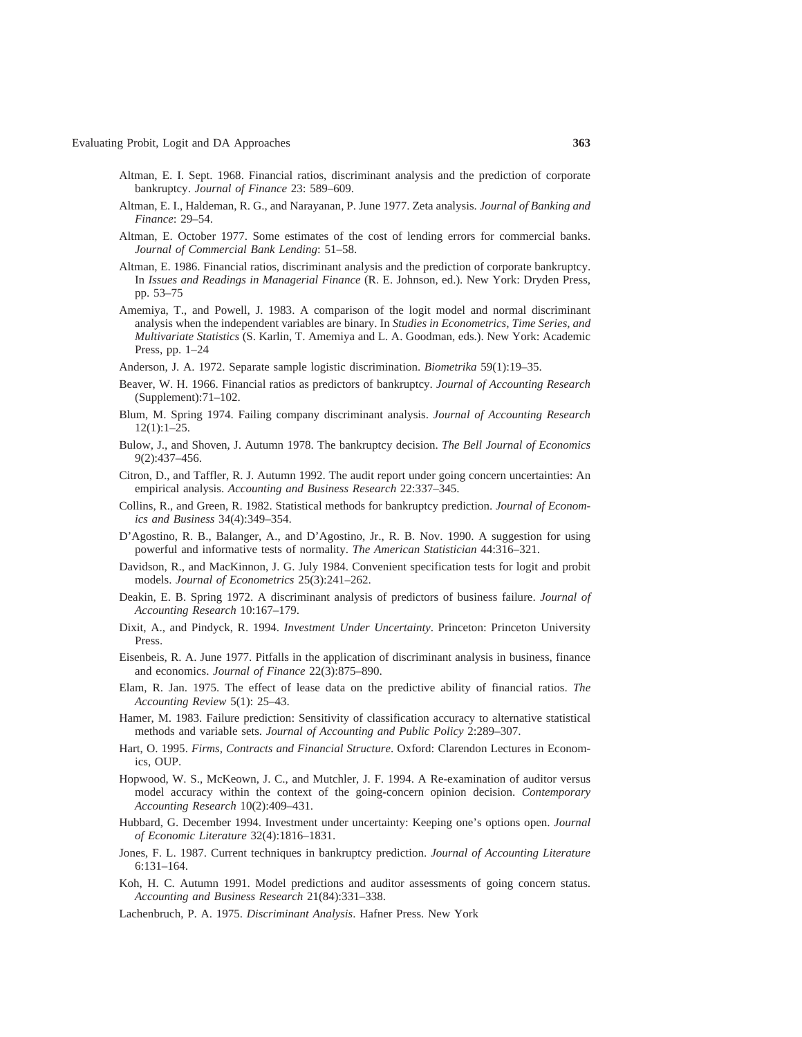- Altman, E. I. Sept. 1968. Financial ratios, discriminant analysis and the prediction of corporate bankruptcy. *Journal of Finance* 23: 589–609.
- Altman, E. I., Haldeman, R. G., and Narayanan, P. June 1977. Zeta analysis. *Journal of Banking and Finance*: 29–54.
- Altman, E. October 1977. Some estimates of the cost of lending errors for commercial banks. *Journal of Commercial Bank Lending*: 51–58.
- Altman, E. 1986. Financial ratios, discriminant analysis and the prediction of corporate bankruptcy. In *Issues and Readings in Managerial Finance* (R. E. Johnson, ed.). New York: Dryden Press, pp. 53–75
- Amemiya, T., and Powell, J. 1983. A comparison of the logit model and normal discriminant analysis when the independent variables are binary. In *Studies in Econometrics, Time Series, and Multivariate Statistics* (S. Karlin, T. Amemiya and L. A. Goodman, eds.). New York: Academic Press, pp. 1–24
- Anderson, J. A. 1972. Separate sample logistic discrimination. *Biometrika* 59(1):19–35.
- Beaver, W. H. 1966. Financial ratios as predictors of bankruptcy. *Journal of Accounting Research* (Supplement):71–102.
- Blum, M. Spring 1974. Failing company discriminant analysis. *Journal of Accounting Research*  $12(1):1-25.$
- Bulow, J., and Shoven, J. Autumn 1978. The bankruptcy decision. *The Bell Journal of Economics* 9(2):437–456.
- Citron, D., and Taffler, R. J. Autumn 1992. The audit report under going concern uncertainties: An empirical analysis. *Accounting and Business Research* 22:337–345.
- Collins, R., and Green, R. 1982. Statistical methods for bankruptcy prediction. *Journal of Economics and Business* 34(4):349–354.
- D'Agostino, R. B., Balanger, A., and D'Agostino, Jr., R. B. Nov. 1990. A suggestion for using powerful and informative tests of normality. *The American Statistician* 44:316–321.
- Davidson, R., and MacKinnon, J. G. July 1984. Convenient specification tests for logit and probit models. *Journal of Econometrics* 25(3):241–262.
- Deakin, E. B. Spring 1972. A discriminant analysis of predictors of business failure. *Journal of Accounting Research* 10:167–179.
- Dixit, A., and Pindyck, R. 1994. *Investment Under Uncertainty*. Princeton: Princeton University Press.
- Eisenbeis, R. A. June 1977. Pitfalls in the application of discriminant analysis in business, finance and economics. *Journal of Finance* 22(3):875–890.
- Elam, R. Jan. 1975. The effect of lease data on the predictive ability of financial ratios. *The Accounting Review* 5(1): 25–43.
- Hamer, M. 1983. Failure prediction: Sensitivity of classification accuracy to alternative statistical methods and variable sets. *Journal of Accounting and Public Policy* 2:289–307.
- Hart, O. 1995. *Firms, Contracts and Financial Structure*. Oxford: Clarendon Lectures in Economics, OUP.
- Hopwood, W. S., McKeown, J. C., and Mutchler, J. F. 1994. A Re-examination of auditor versus model accuracy within the context of the going-concern opinion decision. *Contemporary Accounting Research* 10(2):409–431.
- Hubbard, G. December 1994. Investment under uncertainty: Keeping one's options open. *Journal of Economic Literature* 32(4):1816–1831.
- Jones, F. L. 1987. Current techniques in bankruptcy prediction. *Journal of Accounting Literature* 6:131–164.
- Koh, H. C. Autumn 1991. Model predictions and auditor assessments of going concern status. *Accounting and Business Research* 21(84):331–338.
- Lachenbruch, P. A. 1975. *Discriminant Analysis*. Hafner Press. New York